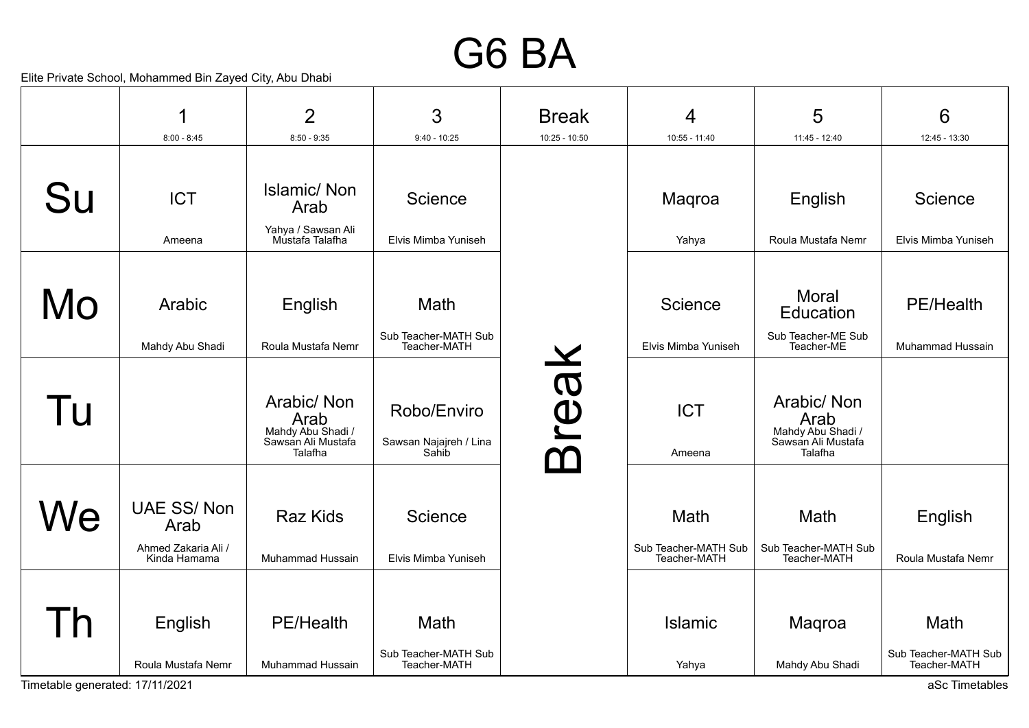#### G6 BA

|                                 | 1                                                                | $\overline{2}$                                                            | 3                                              | <b>Break</b>     | 4                                            | 5                                                                        | 6                              |
|---------------------------------|------------------------------------------------------------------|---------------------------------------------------------------------------|------------------------------------------------|------------------|----------------------------------------------|--------------------------------------------------------------------------|--------------------------------|
|                                 | $8:00 - 8:45$                                                    | $8:50 - 9:35$                                                             | $9:40 - 10:25$                                 | $10:25 - 10:50$  | $10:55 - 11:40$                              | 11:45 - 12:40                                                            | 12:45 - 13:30                  |
| Su                              | <b>ICT</b><br>Ameena                                             | <b>Islamic/Non</b><br>Arab<br>Yahya / Sawsan Ali<br>Mustafa Talafha       | Science<br>Elvis Mimba Yuniseh                 |                  | Magroa<br>Yahya                              | English<br>Roula Mustafa Nemr                                            | Science<br>Elvis Mimba Yuniseh |
|                                 |                                                                  |                                                                           |                                                |                  |                                              |                                                                          |                                |
| Mo                              | Arabic                                                           | English                                                                   | Math                                           |                  | Science                                      | Moral<br>Education                                                       | PE/Health                      |
|                                 | Mahdy Abu Shadi                                                  | Roula Mustafa Nemr                                                        | Sub Teacher-MATH Sub<br>Teacher-MATH           |                  | Elvis Mimba Yuniseh                          | Sub Teacher-ME Sub<br>Teacher-ME                                         | <b>Muhammad Hussain</b>        |
| Гu                              |                                                                  | Arabic/ Non<br>Arab<br>Mahdy Abu Shadi /<br>Sawsan Ali Mustafa<br>Talafha | Robo/Enviro<br>Sawsan Najajreh / Lina<br>Sahib | <b>NOSI</b><br>ന | <b>ICT</b><br>Ameena                         | Arabic/Non<br>Arab<br>Mahdy Abu Shadi /<br>Sawsan Ali Mustafa<br>Talafha |                                |
| We                              | <b>UAE SS/Non</b><br>Arab<br>Ahmed Zakaria Ali /<br>Kinda Hamama | <b>Raz Kids</b><br>Muhammad Hussain                                       | <b>Science</b><br>Elvis Mimba Yuniseh          |                  | Math<br>Sub Teacher-MATH Sub<br>Teacher-MATH | Math<br>Sub Teacher-MATH Sub<br>Teacher-MATH                             | English<br>Roula Mustafa Nemr  |
| h                               | English<br>Roula Mustafa Nemr                                    | PE/Health<br>Muhammad Hussain                                             | Math<br>Sub Teacher-MATH Sub                   |                  | <b>Islamic</b>                               | Maqroa                                                                   | Math<br>Sub Teacher-MATH Sub   |
| Timetable generated: 17/11/2021 |                                                                  |                                                                           | Teacher-MATH                                   |                  | Yahya                                        | Mahdy Abu Shadi                                                          | Teacher-MATH<br>aSc Timetables |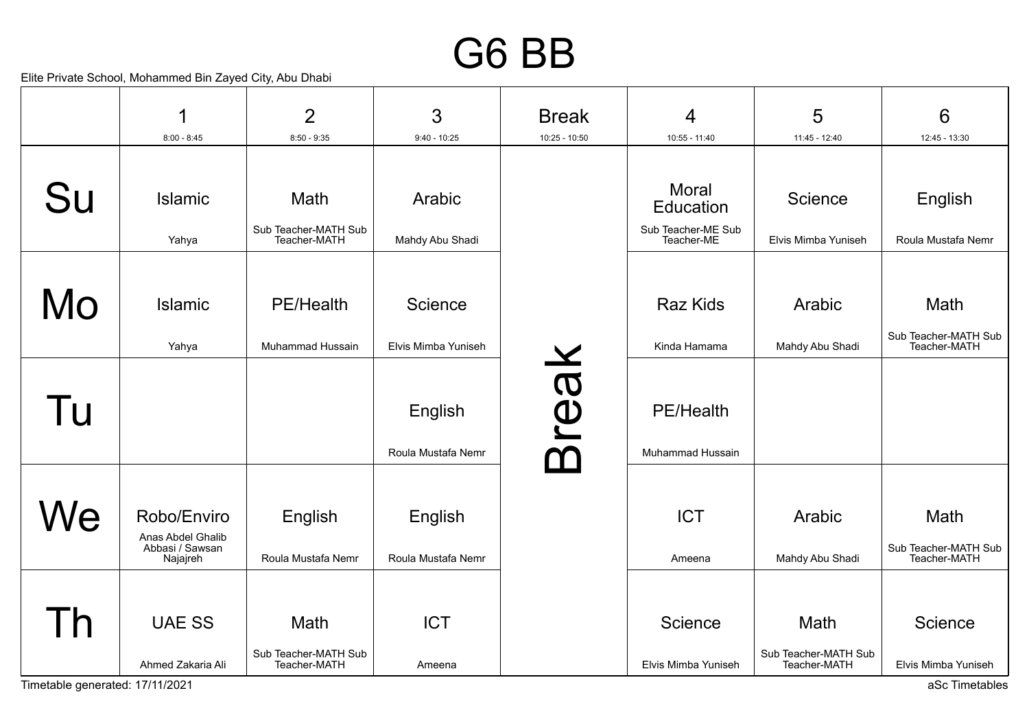### G6 BB

Elite Private School, Mohammed Bin Zayed City, Abu Dhabi

|    | 1                                                               | $\overline{2}$                               | 3                             | <b>Break</b>          | 4                                        | 5                                                   | 6                                            |
|----|-----------------------------------------------------------------|----------------------------------------------|-------------------------------|-----------------------|------------------------------------------|-----------------------------------------------------|----------------------------------------------|
|    | $8:00 - 8:45$                                                   | $8:50 - 9:35$                                | $9:40 - 10:25$                | $10:25 - 10:50$       | $10:55 - 11:40$                          | 11:45 - 12:40                                       | 12:45 - 13:30                                |
| Su | <b>Islamic</b>                                                  | Math<br>Sub Teacher-MATH Sub                 | Arabic                        |                       | Moral<br>Education<br>Sub Teacher-ME Sub | Science                                             | English                                      |
|    | Yahya                                                           | Teacher-MATH                                 | Mahdy Abu Shadi               |                       | Teacher-ME                               | Elvis Mimba Yuniseh                                 | Roula Mustafa Nemr                           |
| Mo | <b>Islamic</b>                                                  | <b>PE/Health</b>                             | Science                       |                       | <b>Raz Kids</b>                          | Arabic                                              | Math<br>Sub Teacher-MATH Sub                 |
|    | Yahya                                                           | Muhammad Hussain                             | Elvis Mimba Yuniseh           | $\boldsymbol{\times}$ | Kinda Hamama                             | Mahdy Abu Shadi                                     | Teacher-MATH                                 |
| Tu |                                                                 |                                              | English<br>Roula Mustafa Nemr | <b>B</b> real         | <b>PE/Health</b><br>Muhammad Hussain     |                                                     |                                              |
| Ve | Robo/Enviro<br>Anas Abdel Ghalib<br>Abbasi / Sawsan<br>Najajreh | English<br>Roula Mustafa Nemr                | English<br>Roula Mustafa Nemr |                       | <b>ICT</b><br>Ameena                     | Arabic<br>Mahdy Abu Shadi                           | Math<br>Sub Teacher-MATH Sub<br>Teacher-MATH |
|    | <b>UAE SS</b><br>Ahmed Zakaria Ali                              | Math<br>Sub Teacher-MATH Sub<br>Teacher-MATH | <b>ICT</b><br>Ameena          |                       | Science<br>Elvis Mimba Yuniseh           | Math<br>Sub Teacher-MATH Sub<br><b>Teacher-MATH</b> | Science<br>Elvis Mimba Yuniseh               |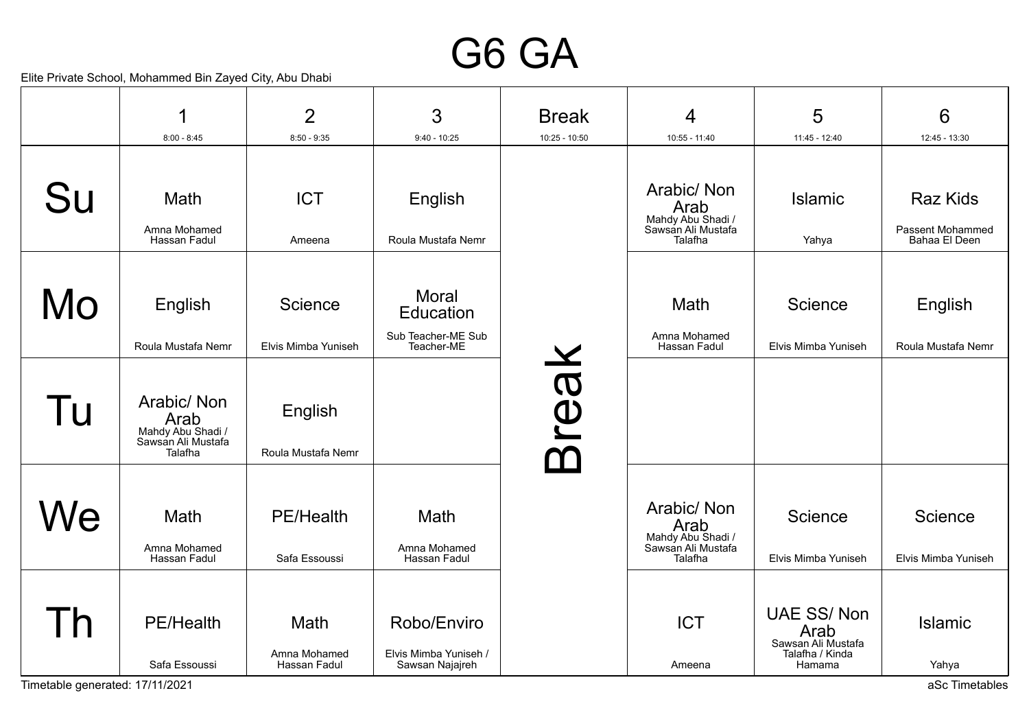### G6 GA

Elite Private School, Mohammed Bin Zayed City, Abu Dhabi

|    | $8:00 - 8:45$                                                            | $\overline{2}$<br>$8:50 - 9:35$      | $\mathfrak{S}$<br>$9:40 - 10:25$                        | <b>Break</b><br>$10:25 - 10:50$ | $\overline{4}$<br>10:55 - 11:40                                          | 5<br>$11:45 - 12:40$                                                         | 6<br>12:45 - 13:30                                          |
|----|--------------------------------------------------------------------------|--------------------------------------|---------------------------------------------------------|---------------------------------|--------------------------------------------------------------------------|------------------------------------------------------------------------------|-------------------------------------------------------------|
|    |                                                                          |                                      |                                                         |                                 |                                                                          |                                                                              |                                                             |
| Su | Math<br>Amna Mohamed<br>Hassan Fadul                                     | <b>ICT</b><br>Ameena                 | English<br>Roula Mustafa Nemr                           |                                 | Arabic/Non<br>Arab<br>Mahdy Abu Shadi /<br>Sawsan Ali Mustafa<br>Talafha | Islamic<br>Yahya                                                             | <b>Raz Kids</b><br><b>Passent Mohammed</b><br>Bahaa El Deen |
|    |                                                                          |                                      |                                                         |                                 |                                                                          |                                                                              |                                                             |
| Mo | English                                                                  | Science                              | Moral<br>Education                                      |                                 | Math                                                                     | Science                                                                      | English                                                     |
|    | Roula Mustafa Nemr                                                       | Elvis Mimba Yuniseh                  | Sub Teacher-ME Sub<br>Teacher-ME                        |                                 | Amna Mohamed<br>Hassan Fadul                                             | Elvis Mimba Yuniseh                                                          | Roula Mustafa Nemr                                          |
| Tu | Arabic/Non<br>Arab<br>Mahdy Abu Shadi /<br>Sawsan Ali Mustafa<br>Talafha | English<br>Roula Mustafa Nemr        |                                                         | reak                            |                                                                          |                                                                              |                                                             |
| Ve | Math<br>Amna Mohamed<br>Hassan Fadul                                     | <b>PE/Health</b><br>Safa Essoussi    | Math<br>Amna Mohamed<br>Hassan Fadul                    |                                 | Arabic/Non<br>Arab<br>Mahdy Abu Shadi /<br>Sawsan Ali Mustafa<br>Talafha | Science<br>Elvis Mimba Yuniseh                                               | Science<br>Elvis Mimba Yuniseh                              |
|    | <b>PE/Health</b><br>Safa Essoussi                                        | Math<br>Amna Mohamed<br>Hassan Fadul | Robo/Enviro<br>Elvis Mimba Yuniseh /<br>Sawsan Najajreh |                                 | <b>ICT</b><br>Ameena                                                     | <b>UAE SS/Non</b><br>Arab<br>Sawsan Ali Mustafa<br>Talafha / Kinda<br>Hamama | Islamic<br>Yahya                                            |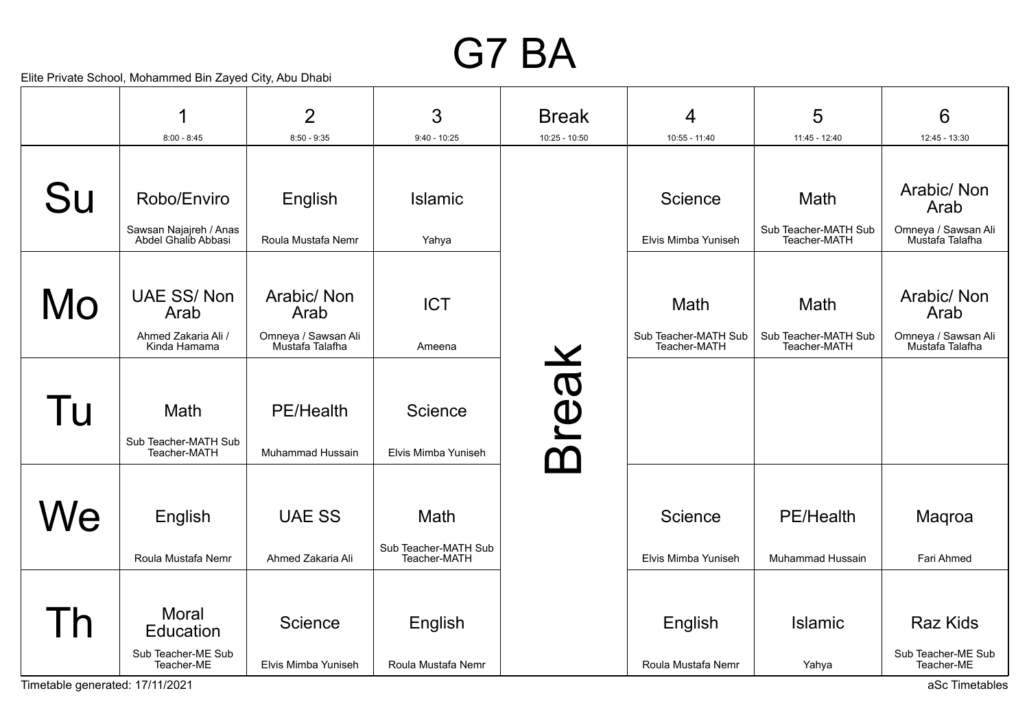### G7 BA

|     | 1                                                             | $\overline{2}$                         | 3                                            | <b>Break</b>        | 4                                    | 5                                    | 6                                                   |
|-----|---------------------------------------------------------------|----------------------------------------|----------------------------------------------|---------------------|--------------------------------------|--------------------------------------|-----------------------------------------------------|
|     | $8:00 - 8:45$                                                 | $8:50 - 9:35$                          | $9:40 - 10:25$                               | $10:25 - 10:50$     | 10:55 - 11:40                        | 11:45 - 12:40                        | 12:45 - 13:30                                       |
| Su  | Robo/Enviro                                                   | English                                | <b>Islamic</b>                               |                     | Science                              | Math                                 | Arabic/ Non<br>Arab                                 |
|     | Sawsan Najajreh / Anas<br>Abdel Ghalib Abbasi                 | Roula Mustafa Nemr                     | Yahya                                        |                     | Elvis Mimba Yuniseh                  | Sub Teacher-MATH Sub<br>Teacher-MATH | Omneya / Sawsan Ali<br>Mustafa Talafha              |
| Mo  | <b>UAE SS/Non</b><br>Arab                                     | Arabic/Non<br>Arab                     | <b>ICT</b>                                   |                     | Math                                 | Math                                 | Arabic/Non<br>Arab                                  |
|     | Ahmed Zakaria Ali /<br>Kinda Hamama                           | Omneya / Sawsan Ali<br>Mustafa Talafha | Ameena                                       |                     | Sub Teacher-MATH Sub<br>Teacher-MATH | Sub Teacher-MATH Sub<br>Teacher-MATH | Omneya / Sawsan Ali<br>Mustafa Talafha              |
| l u | Math<br>Sub Teacher-MATH Sub<br>Teacher-MATH                  | <b>PE/Health</b><br>Muhammad Hussain   | Science<br>Elvis Mimba Yuniseh               | real<br>$\mathbf 7$ |                                      |                                      |                                                     |
| We  | English<br>Roula Mustafa Nemr                                 | <b>UAE SS</b><br>Ahmed Zakaria Ali     | Math<br>Sub Teacher-MATH Sub<br>Teacher-MATH |                     | Science<br>Elvis Mimba Yuniseh       | <b>PE/Health</b><br>Muhammad Hussain | Maqroa<br>Fari Ahmed                                |
| Th  | Moral<br><b>Education</b><br>Sub Teacher-ME Sub<br>Teacher-ME | Science<br>Elvis Mimba Yuniseh         | English<br>Roula Mustafa Nemr                |                     | English<br>Roula Mustafa Nemr        | <b>Islamic</b><br>Yahya              | <b>Raz Kids</b><br>Sub Teacher-ME Sub<br>Teacher-ME |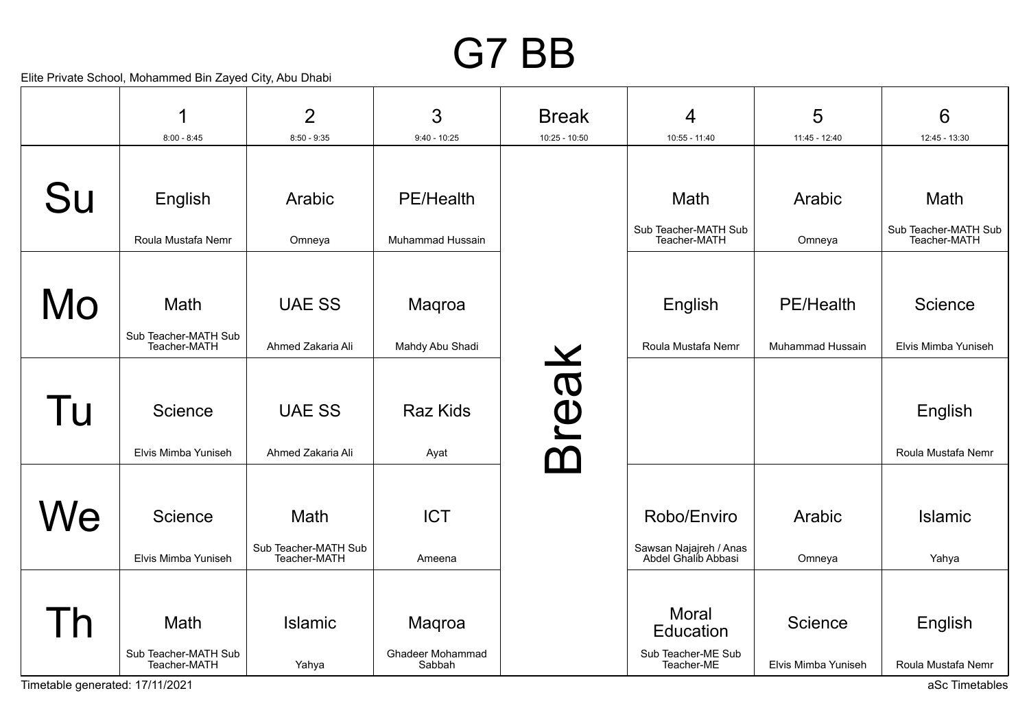## G7 BB

Elite Private School, Mohammed Bin Zayed City, Abu Dhabi

|    | 1<br>$8:00 - 8:45$                   | $\overline{2}$<br>$8:50 - 9:35$      | $\mathfrak{S}$<br>$9:40 - 10:25$  | <b>Break</b><br>$10:25 - 10:50$ | $\overline{4}$<br>$10:55 - 11:40$             | 5<br>$11:45 - 12:40$ | 6<br>12:45 - 13:30                   |
|----|--------------------------------------|--------------------------------------|-----------------------------------|---------------------------------|-----------------------------------------------|----------------------|--------------------------------------|
|    |                                      |                                      |                                   |                                 |                                               |                      |                                      |
| Su | English                              | Arabic                               | <b>PE/Health</b>                  |                                 | Math                                          | Arabic               | Math                                 |
|    | Roula Mustafa Nemr                   | Omneya                               | Muhammad Hussain                  |                                 | Sub Teacher-MATH Sub<br>Teacher-MATH          | Omneya               | Sub Teacher-MATH Sub<br>Teacher-MATH |
|    |                                      |                                      |                                   |                                 |                                               |                      |                                      |
| Mo | Math                                 | <b>UAE SS</b>                        | Maqroa                            |                                 | English                                       | <b>PE/Health</b>     | Science                              |
|    | Sub Teacher-MATH Sub<br>Teacher-MATH | Ahmed Zakaria Ali                    | Mahdy Abu Shadi                   |                                 | Roula Mustafa Nemr                            | Muhammad Hussain     | Elvis Mimba Yuniseh                  |
|    |                                      |                                      |                                   |                                 |                                               |                      |                                      |
| Tu | Science                              | <b>UAE SS</b>                        | <b>Raz Kids</b>                   | Break                           |                                               |                      | English                              |
|    | Elvis Mimba Yuniseh                  | Ahmed Zakaria Ali                    | Ayat                              |                                 |                                               |                      | Roula Mustafa Nemr                   |
|    |                                      |                                      |                                   |                                 |                                               |                      |                                      |
| We | Science                              | Math                                 | <b>ICT</b>                        |                                 | Robo/Enviro                                   | Arabic               | Islamic                              |
|    | Elvis Mimba Yuniseh                  | Sub Teacher-MATH Sub<br>Teacher-MATH | Ameena                            |                                 | Sawsan Najajreh / Anas<br>Abdel Ghalib Abbasi | Omneya               | Yahya                                |
|    |                                      |                                      |                                   |                                 |                                               |                      |                                      |
|    | Math                                 | <b>Islamic</b>                       | Maqroa                            |                                 | <b>Moral</b><br><b>Education</b>              | Science              | English                              |
|    | Sub Teacher-MATH Sub<br>Teacher-MATH | Yahya                                | <b>Ghadeer Mohammad</b><br>Sabbah |                                 | Sub Teacher-ME Sub<br>Teacher-ME              | Elvis Mimba Yuniseh  | Roula Mustafa Nemr                   |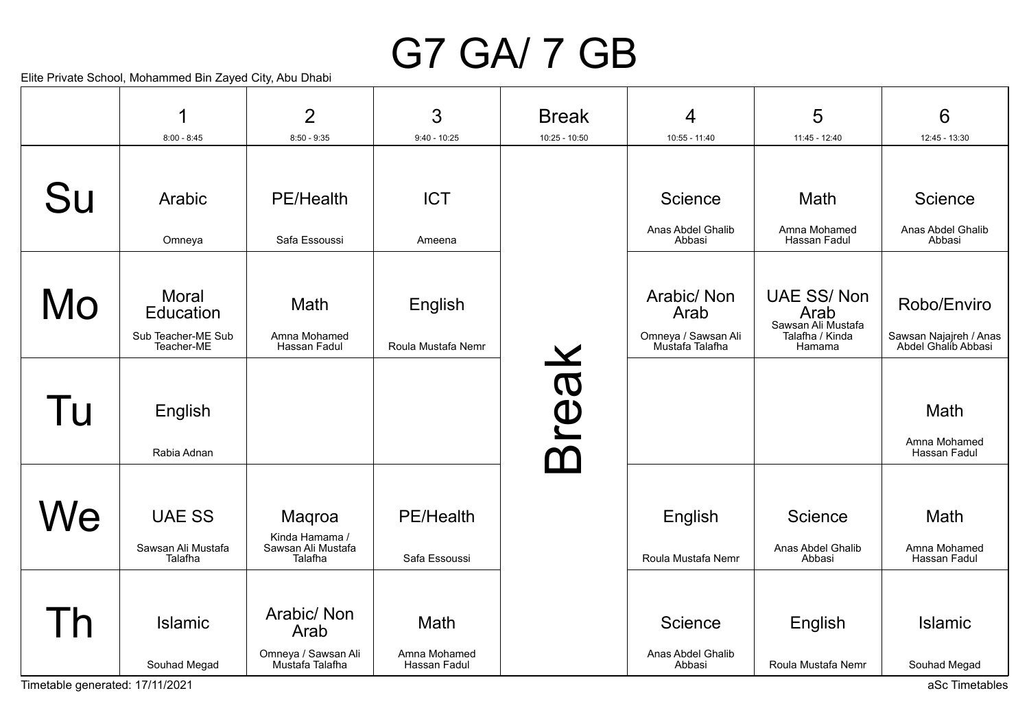# G7 GA/ 7 GB

Elite Private School, Mohammed Bin Zayed City, Abu Dhabi

|    | 1                                | $\overline{2}$                                  | 3                            | <b>Break</b>    | 4                                      | 5                                               | 6                                             |
|----|----------------------------------|-------------------------------------------------|------------------------------|-----------------|----------------------------------------|-------------------------------------------------|-----------------------------------------------|
|    | $8:00 - 8:45$                    | $8:50 - 9:35$                                   | $9:40 - 10:25$               | $10:25 - 10:50$ | 10:55 - 11:40                          | 11:45 - 12:40                                   | 12:45 - 13:30                                 |
| Su | Arabic                           | <b>PE/Health</b>                                | <b>ICT</b>                   |                 | Science                                | <b>Math</b>                                     | Science                                       |
|    |                                  |                                                 |                              |                 |                                        |                                                 |                                               |
|    | Omneya                           | Safa Essoussi                                   | Ameena                       |                 | Anas Abdel Ghalib<br>Abbasi            | Amna Mohamed<br>Hassan Fadul                    | Anas Abdel Ghalib<br>Abbasi                   |
|    |                                  |                                                 |                              |                 |                                        |                                                 |                                               |
| Mo | <b>Moral</b><br>Education        | Math                                            | English                      |                 | Arabic/ Non<br>Arab                    | <b>UAE SS/Non</b><br>Arab<br>Sawsan Ali Mustafa | Robo/Enviro                                   |
|    | Sub Teacher-ME Sub<br>Teacher-ME | Amna Mohamed<br>Hassan Fadul                    | Roula Mustafa Nemr           |                 | Omneya / Sawsan Ali<br>Mustafa Talafha | Talafha / Kinda<br>Hamama                       | Sawsan Najajreh / Anas<br>Abdel Ghalib Abbasi |
|    |                                  |                                                 |                              | reak            |                                        |                                                 |                                               |
| Tu | English                          |                                                 |                              |                 |                                        |                                                 | Math                                          |
|    | Rabia Adnan                      |                                                 |                              |                 |                                        |                                                 | Amna Mohamed<br>Hassan Fadul                  |
|    |                                  |                                                 |                              |                 |                                        |                                                 |                                               |
| Vе | <b>UAE SS</b>                    | Magroa                                          | <b>PE/Health</b>             |                 | English                                | Science                                         | Math                                          |
|    | Sawsan Ali Mustafa<br>Talafha    | Kinda Hamama /<br>Sawsan Ali Mustafa<br>Talafha | Safa Essoussi                |                 | Roula Mustafa Nemr                     | Anas Abdel Ghalib<br>Abbasi                     | Amna Mohamed<br>Hassan Fadul                  |
|    |                                  |                                                 |                              |                 |                                        |                                                 |                                               |
|    | <b>Islamic</b>                   | Arabic/Non<br>Arab                              | Math                         |                 | Science                                | English                                         | <b>Islamic</b>                                |
|    | Souhad Megad                     | Omneya / Sawsan Ali<br>Mustafa Talafha          | Amna Mohamed<br>Hassan Fadul |                 | Anas Abdel Ghalib<br>Abbasi            | Roula Mustafa Nemr                              | Souhad Megad                                  |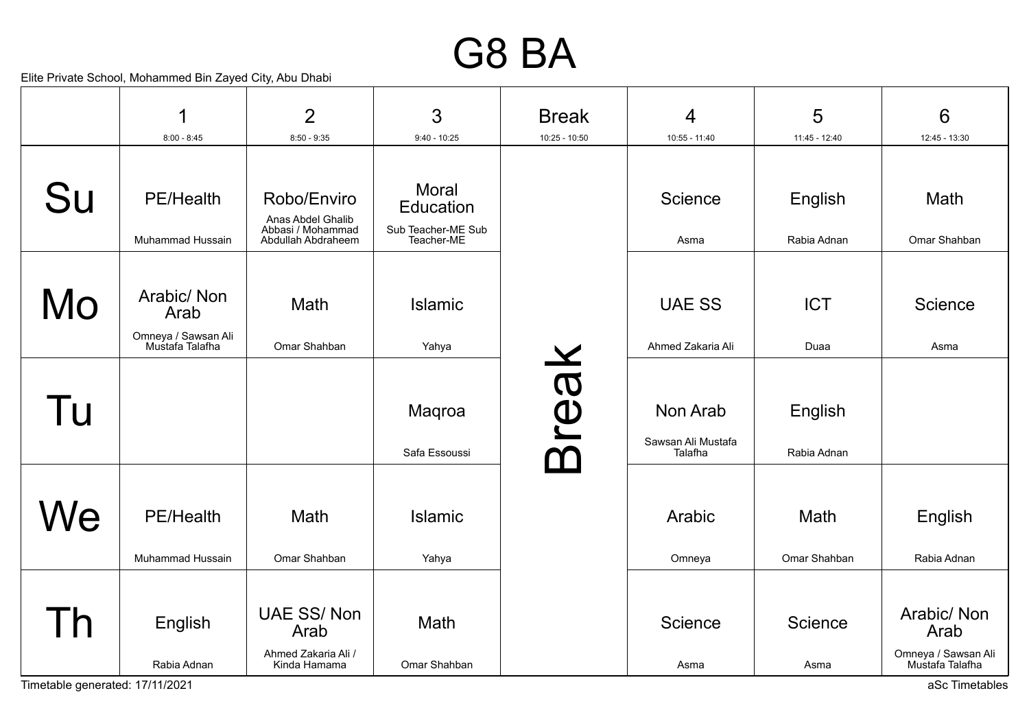### G8 BA

Elite Private School, Mohammed Bin Zayed City, Abu Dhabi

|    | 1                                                            | $\overline{2}$                                                              | 3                                                             | <b>Break</b>      | 4                                         | 5                      | $6\phantom{1}6$                                              |
|----|--------------------------------------------------------------|-----------------------------------------------------------------------------|---------------------------------------------------------------|-------------------|-------------------------------------------|------------------------|--------------------------------------------------------------|
|    | $8:00 - 8:45$                                                | $8:50 - 9:35$                                                               | $9:40 - 10:25$                                                | 10:25 - 10:50     | 10:55 - 11:40                             | $11:45 - 12:40$        | $12:45 - 13:30$                                              |
| Su | <b>PE/Health</b><br>Muhammad Hussain                         | Robo/Enviro<br>Anas Abdel Ghalib<br>Abbasi / Mohammad<br>Abdullah Abdraheem | <b>Moral</b><br>Education<br>Sub Teacher-ME Sub<br>Teacher-ME |                   | Science<br>Asma                           | English<br>Rabia Adnan | Math<br>Omar Shahban                                         |
| Mo | Arabic/Non<br>Arab<br>Omneya / Sawsan Ali<br>Mustafa Talafha | Math<br>Omar Shahban                                                        | <b>Islamic</b><br>Yahya                                       |                   | <b>UAE SS</b><br>Ahmed Zakaria Ali        | <b>ICT</b><br>Duaa     | Science<br>Asma                                              |
| Tu |                                                              |                                                                             | Maqroa<br>Safa Essoussi                                       | reak<br><b>TA</b> | Non Arab<br>Sawsan Ali Mustafa<br>Talafha | English<br>Rabia Adnan |                                                              |
| We | <b>PE/Health</b><br>Muhammad Hussain                         | Math<br>Omar Shahban                                                        | <b>Islamic</b><br>Yahya                                       |                   | Arabic<br>Omneya                          | Math<br>Omar Shahban   | English<br>Rabia Adnan                                       |
|    | English<br>Rabia Adnan                                       | <b>UAE SS/Non</b><br>Arab<br>Ahmed Zakaria Ali /<br>Kinda Hamama            | <b>Math</b><br>Omar Shahban                                   |                   | Science<br>Asma                           | Science<br>Asma        | Arabic/Non<br>Arab<br>Omneya / Sawsan Ali<br>Mustafa Talafha |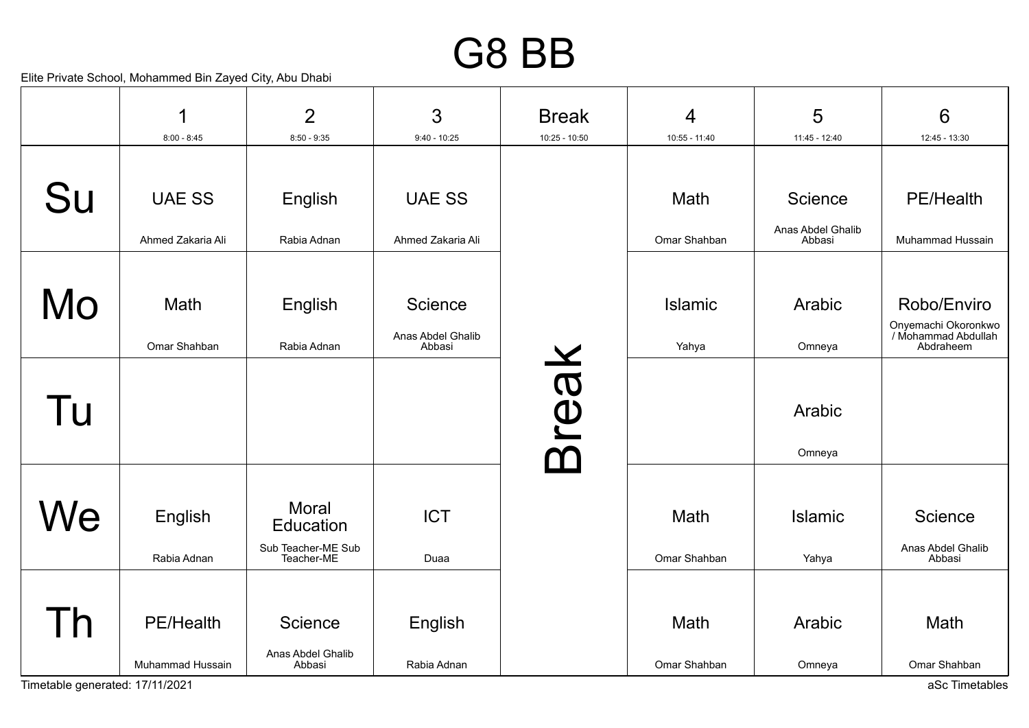### G8 BB

Elite Private School, Mohammed Bin Zayed City, Abu Dhabi

|              | 1                                  | $\overline{2}$                                         | 3                                      | <b>Break</b>                    | 4                    | 5                                      | $6\phantom{1}6$                                                        |
|--------------|------------------------------------|--------------------------------------------------------|----------------------------------------|---------------------------------|----------------------|----------------------------------------|------------------------------------------------------------------------|
|              | $8:00 - 8:45$                      | $8:50 - 9:35$                                          | $9:40 - 10:25$                         | $10:25 - 10:50$                 | 10:55 - 11:40        | 11:45 - 12:40                          | 12:45 - 13:30                                                          |
| Su           | <b>UAE SS</b><br>Ahmed Zakaria Ali | English<br>Rabia Adnan                                 | <b>UAE SS</b><br>Ahmed Zakaria Ali     |                                 | Math<br>Omar Shahban | Science<br>Anas Abdel Ghalib<br>Abbasi | <b>PE/Health</b><br>Muhammad Hussain                                   |
| Mo           | Math<br>Omar Shahban               | English<br>Rabia Adnan                                 | Science<br>Anas Abdel Ghalib<br>Abbasi |                                 | Islamic<br>Yahya     | Arabic<br>Omneya                       | Robo/Enviro<br>Onyemachi Okoronkwo<br>/ Mohammad Abdullah<br>Abdraheem |
| Tu           |                                    |                                                        |                                        | reak<br>$\overline{\mathbf{M}}$ |                      | Arabic<br>Omneya                       |                                                                        |
| We           | English<br>Rabia Adnan             | Moral<br>Education<br>Sub Teacher-ME Sub<br>Teacher-ME | <b>ICT</b><br>Duaa                     |                                 | Math<br>Omar Shahban | <b>Islamic</b><br>Yahya                | Science<br>Anas Abdel Ghalib<br>Abbasi                                 |
| $\mathsf{h}$ | PE/Health<br>Muhammad Hussain      | Science<br>Anas Abdel Ghalib<br>Abbasi                 | English<br>Rabia Adnan                 |                                 | Math<br>Omar Shahban | Arabic<br>Omneya                       | Math<br>Omar Shahban                                                   |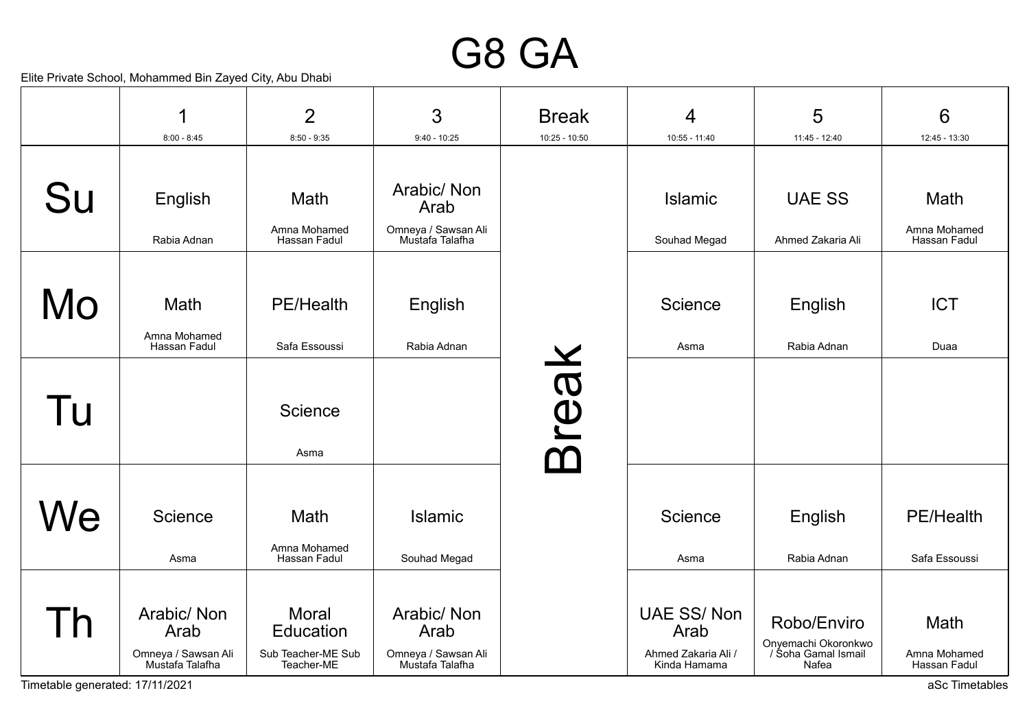#### G8 GA

Elite Private School, Mohammed Bin Zayed City, Abu Dhabi

|    | 1<br>$8:00 - 8:45$                     | $\overline{2}$<br>$8:50 - 9:35$             | 3<br>$9:40 - 10:25$                    | <b>Break</b><br>10:25 - 10:50 | $\overline{4}$<br>$10:55 - 11:40$   | 5<br>11:45 - 12:40                 | 6<br>12:45 - 13:30                |
|----|----------------------------------------|---------------------------------------------|----------------------------------------|-------------------------------|-------------------------------------|------------------------------------|-----------------------------------|
|    |                                        |                                             |                                        |                               |                                     |                                    |                                   |
| Su | English                                | Math                                        | Arabic/ Non<br>Arab                    |                               | <b>Islamic</b>                      | <b>UAE SS</b>                      | Math                              |
|    | Rabia Adnan                            | Amna Mohamed<br>Hassan Fadul                | Omneya / Sawsan Ali<br>Mustafa Talafha |                               | Souhad Megad                        | Ahmed Zakaria Ali                  | Amna Mohamed<br>Hassan Fadul      |
|    |                                        |                                             |                                        |                               |                                     |                                    |                                   |
| Mo | Math                                   | <b>PE/Health</b>                            | English                                |                               | Science                             | English                            | <b>ICT</b>                        |
|    | Amna Mohamed<br>Hassan Fadul           | Safa Essoussi                               | Rabia Adnan                            |                               | Asma                                | Rabia Adnan                        | Duaa                              |
| Tu |                                        | Science<br>Asma                             |                                        | reak<br>$\mathbf 7$           |                                     |                                    |                                   |
| Ve | Science<br>Asma                        | Math<br>Amna Mohamed<br><b>Hassan Fadul</b> | <b>Islamic</b><br>Souhad Megad         |                               | Science<br>Asma                     | English<br>Rabia Adnan             | <b>PE/Health</b><br>Safa Essoussi |
|    |                                        |                                             |                                        |                               |                                     |                                    |                                   |
|    | Arabic/Non<br>Arab                     | Moral<br>Education                          | Arabic/Non<br>Arab                     |                               | <b>UAE SS/Non</b><br>Arab           | Robo/Enviro<br>Onyemachi Okoronkwo | Math                              |
|    | Omneya / Sawsan Ali<br>Mustafa Talafha | Sub Teacher-ME Sub<br>Teacher-ME            | Omneya / Sawsan Ali<br>Mustafa Talafha |                               | Ahmed Zakaria Ali /<br>Kinda Hamama | / Soha Gamal Ismail<br>Nafea       | Amna Mohamed<br>Hassan Fadul      |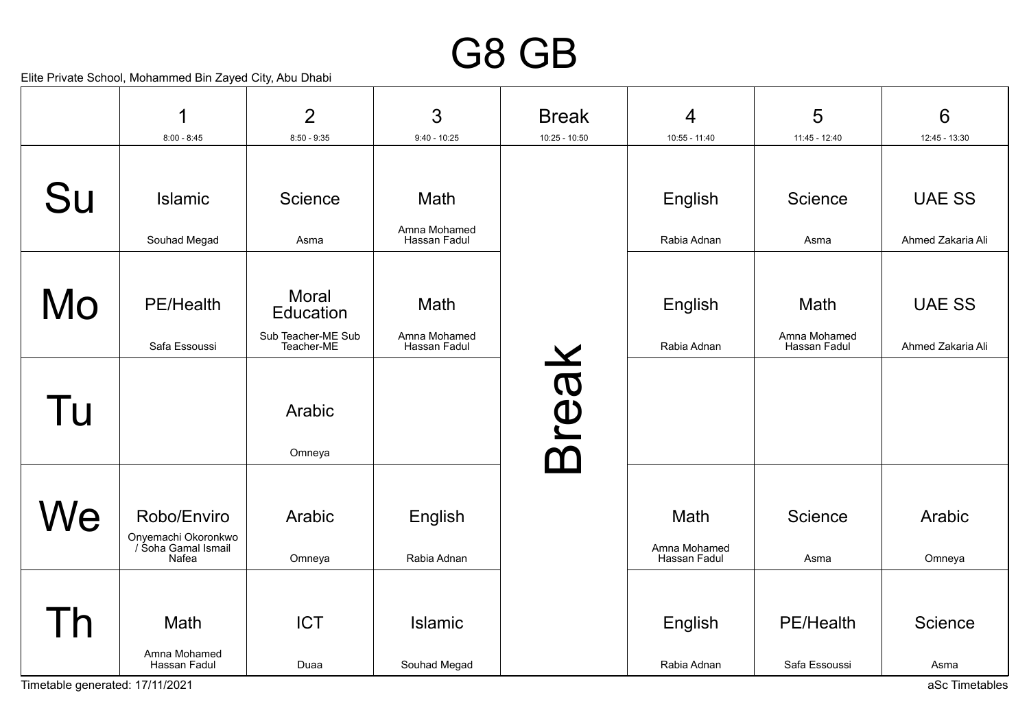#### G8 GB

Elite Private School, Mohammed Bin Zayed City, Abu Dhabi

|    | 1                                                                | $\overline{2}$                                         | 3                                           | <b>Break</b>                    | 4                                    | 5                                    | $6\phantom{1}6$                    |
|----|------------------------------------------------------------------|--------------------------------------------------------|---------------------------------------------|---------------------------------|--------------------------------------|--------------------------------------|------------------------------------|
|    | $8:00 - 8:45$                                                    | $8:50 - 9:35$                                          | $9:40 - 10:25$                              | $10:25 - 10:50$                 | $10:55 - 11:40$                      | 11:45 - 12:40                        | $12:45 - 13:30$                    |
| Su | Islamic<br>Souhad Megad                                          | Science<br>Asma                                        | <b>Math</b><br>Amna Mohamed<br>Hassan Fadul |                                 | English<br>Rabia Adnan               | Science<br>Asma                      | <b>UAE SS</b><br>Ahmed Zakaria Ali |
| Mo | PE/Health<br>Safa Essoussi                                       | Moral<br>Education<br>Sub Teacher-ME Sub<br>Teacher-ME | Math<br>Amna Mohamed<br>Hassan Fadul        |                                 | English<br>Rabia Adnan               | Math<br>Amna Mohamed<br>Hassan Fadul | <b>UAE SS</b><br>Ahmed Zakaria Ali |
| Tu |                                                                  | Arabic<br>Omneya                                       |                                             | reak<br>$\bar{\mathbf{\Omega}}$ |                                      |                                      |                                    |
| We | Robo/Enviro<br>Onyemachi Okoronkwo<br>Soha Gamal Ismail<br>Nafea | Arabic<br>Omneya                                       | English<br>Rabia Adnan                      |                                 | Math<br>Amna Mohamed<br>Hassan Fadul | Science<br>Asma                      | Arabic<br>Omneya                   |
|    | Math<br>Amna Mohamed<br>Hassan Fadul                             | <b>ICT</b><br>Duaa                                     | <b>Islamic</b><br>Souhad Megad              |                                 | English<br>Rabia Adnan               | <b>PE/Health</b><br>Safa Essoussi    | Science<br>Asma                    |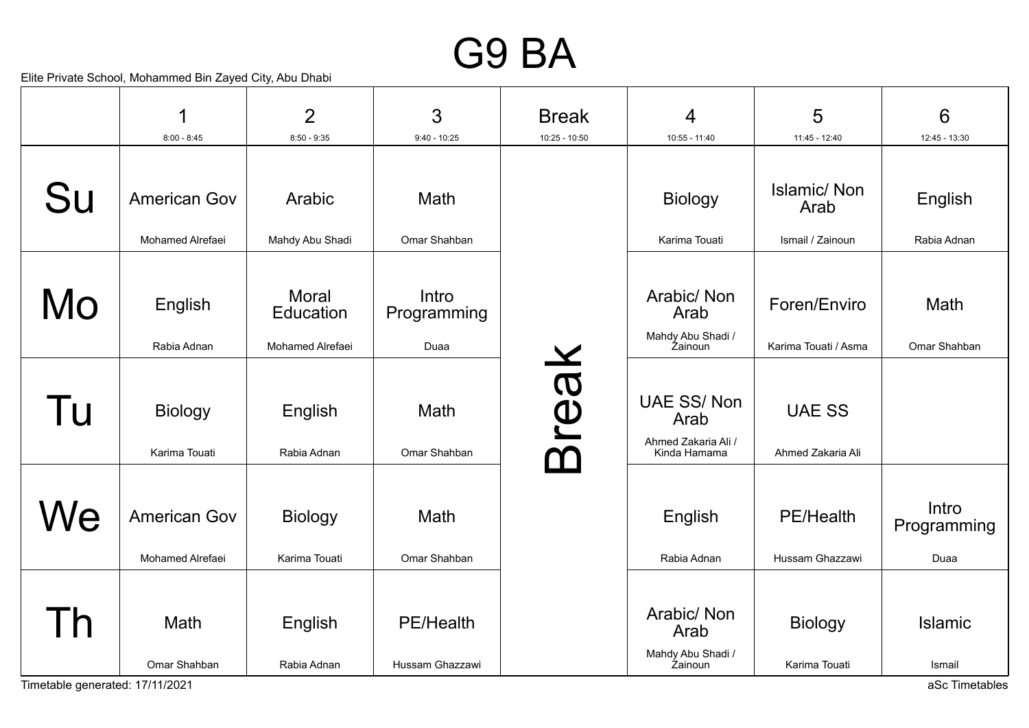#### G9 BA

|    | 1                                       | $\overline{2}$                                | 3                                   | <b>Break</b>    | 4                                                                | 5                                       | 6                            |
|----|-----------------------------------------|-----------------------------------------------|-------------------------------------|-----------------|------------------------------------------------------------------|-----------------------------------------|------------------------------|
|    | $8:00 - 8:45$                           | $8:50 - 9:35$                                 | $9:40 - 10:25$                      | 10:25 - 10:50   | 10:55 - 11:40                                                    | 11:45 - 12:40                           | 12:45 - 13:30                |
| Su | <b>American Gov</b><br>Mohamed Alrefaei | Arabic<br>Mahdy Abu Shadi                     | <b>Math</b><br>Omar Shahban         |                 | <b>Biology</b><br>Karima Touati                                  | Islamic/Non<br>Arab<br>Ismail / Zainoun | English<br>Rabia Adnan       |
| Mo | English<br>Rabia Adnan                  | <b>Moral</b><br>Education<br>Mohamed Alrefaei | Intro<br>Programming<br>Duaa        |                 | Arabic/Non<br>Arab<br>Mahdy Abu Shadi /<br>Zainoun               | Foren/Enviro<br>Karima Touati / Asma    | Math<br>Omar Shahban         |
| Tu | <b>Biology</b><br>Karima Touati         | English<br>Rabia Adnan                        | Math<br>Omar Shahban                | <b>NOS</b><br>M | <b>UAE SS/Non</b><br>Arab<br>Ahmed Zakaria Ali /<br>Kinda Hamama | <b>UAE SS</b><br>Ahmed Zakaria Ali      |                              |
| Ve | <b>American Gov</b><br>Mohamed Alrefaei | <b>Biology</b><br>Karima Touati               | Math<br>Omar Shahban                |                 | English<br>Rabia Adnan                                           | <b>PE/Health</b><br>Hussam Ghazzawi     | Intro<br>Programming<br>Duaa |
|    | Math<br>Omar Shahban                    | English<br>Rabia Adnan                        | <b>PE/Health</b><br>Hussam Ghazzawi |                 | Arabic/Non<br>Arab<br>Mahdy Abu Shadi /<br><b>Zainoun</b>        | <b>Biology</b><br>Karima Touati         | <b>Islamic</b><br>Ismail     |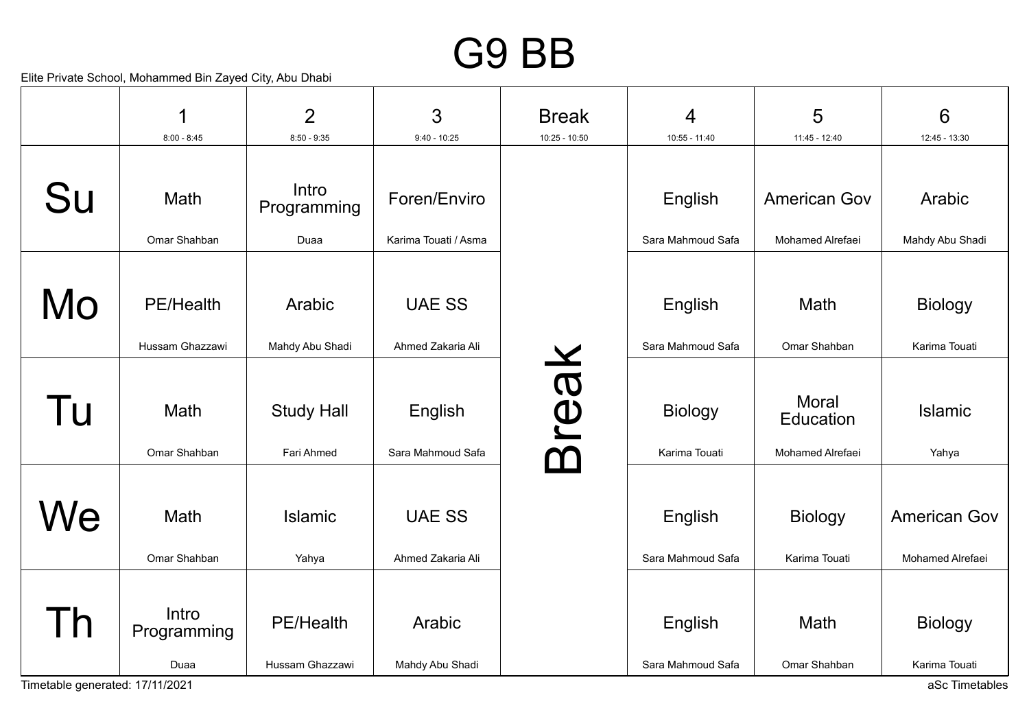### G9 BB

|    | 1                                   | $\overline{2}$                      | 3                                  | <b>Break</b>  | 4                               | 5                                       | 6                                              |
|----|-------------------------------------|-------------------------------------|------------------------------------|---------------|---------------------------------|-----------------------------------------|------------------------------------------------|
|    | $8:00 - 8:45$                       | $8:50 - 9:35$                       | $9:40 - 10:25$                     | 10:25 - 10:50 | 10:55 - 11:40                   | 11:45 - 12:40                           | 12:45 - 13:30                                  |
| Su | Math<br>Omar Shahban                | Intro<br>Programming<br>Duaa        | Foren/Enviro                       |               | English<br>Sara Mahmoud Safa    | <b>American Gov</b><br>Mohamed Alrefaei | Arabic                                         |
|    |                                     |                                     | Karima Touati / Asma               |               |                                 |                                         | Mahdy Abu Shadi                                |
| Mo | <b>PE/Health</b><br>Hussam Ghazzawi | Arabic<br>Mahdy Abu Shadi           | <b>UAE SS</b><br>Ahmed Zakaria Ali |               | English<br>Sara Mahmoud Safa    | Math<br>Omar Shahban                    | <b>Biology</b><br>Karima Touati                |
| Tu | Math<br>Omar Shahban                | <b>Study Hall</b><br>Fari Ahmed     | English<br>Sara Mahmoud Safa       | reak          | <b>Biology</b><br>Karima Touati | Moral<br>Education<br>Mohamed Alrefaei  | <b>Islamic</b><br>Yahya                        |
| We | Math<br>Omar Shahban                | <b>Islamic</b><br>Yahya             | <b>UAE SS</b><br>Ahmed Zakaria Ali |               | English<br>Sara Mahmoud Safa    | <b>Biology</b><br>Karima Touati         | <b>American Gov</b><br><b>Mohamed Alrefaei</b> |
| Th | Intro<br>Programming<br>Duaa        | <b>PE/Health</b><br>Hussam Ghazzawi | Arabic<br>Mahdy Abu Shadi          |               | English<br>Sara Mahmoud Safa    | Math<br>Omar Shahban                    | <b>Biology</b><br>Karima Touati                |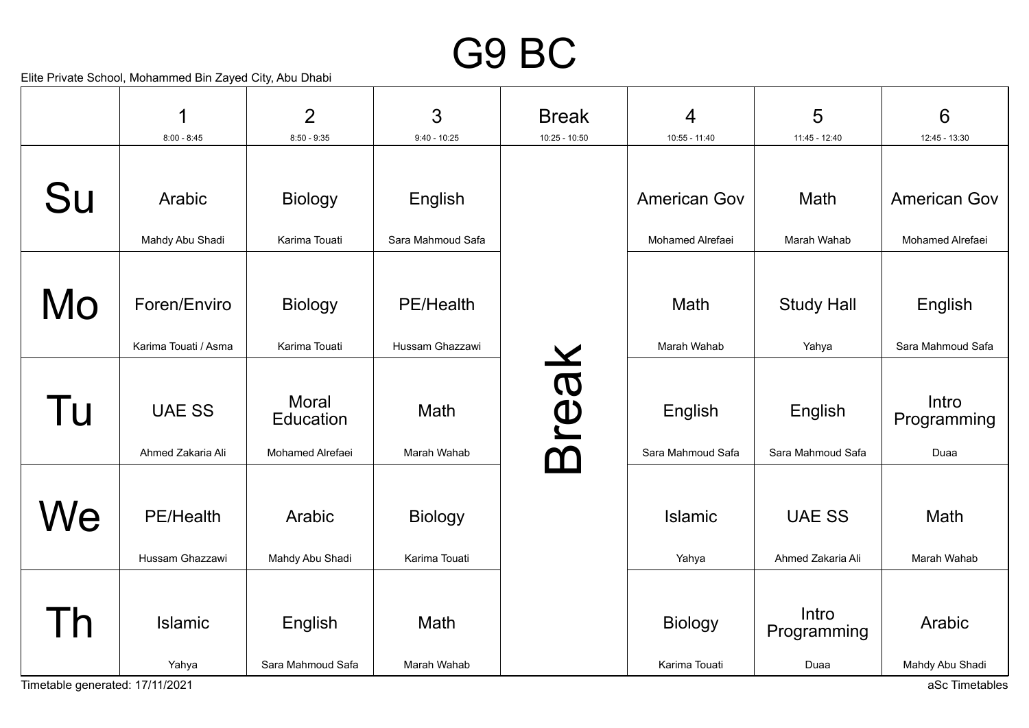#### G9 BC

|                                       | 1<br>$8:00 - 8:45$                   | $\overline{2}$<br>$8:50 - 9:35$        | 3<br>$9:40 - 10:25$                 | <b>Break</b><br>10:25 - 10:50 | 4<br>10:55 - 11:40                      | 5<br>11:45 - 12:40                 | 6<br>12:45 - 13:30                          |
|---------------------------------------|--------------------------------------|----------------------------------------|-------------------------------------|-------------------------------|-----------------------------------------|------------------------------------|---------------------------------------------|
| Su                                    | Arabic<br>Mahdy Abu Shadi            | <b>Biology</b><br>Karima Touati        | English<br>Sara Mahmoud Safa        |                               | <b>American Gov</b><br>Mohamed Alrefaei | Math<br>Marah Wahab                | <b>American Gov</b><br>Mohamed Alrefaei     |
| Mo                                    | Foren/Enviro<br>Karima Touati / Asma | <b>Biology</b><br>Karima Touati        | <b>PE/Health</b><br>Hussam Ghazzawi |                               | Math<br>Marah Wahab                     | <b>Study Hall</b><br>Yahya         | English<br>Sara Mahmoud Safa                |
| Tu                                    | <b>UAE SS</b><br>Ahmed Zakaria Ali   | Moral<br>Education<br>Mohamed Alrefaei | Math<br>Marah Wahab                 | reak<br>M                     | English<br>Sara Mahmoud Safa            | English<br>Sara Mahmoud Safa       | Intro<br>Programming<br>Duaa                |
| We                                    | <b>PE/Health</b><br>Hussam Ghazzawi  | Arabic<br>Mahdy Abu Shadi              | <b>Biology</b><br>Karima Touati     |                               | <b>Islamic</b><br>Yahya                 | <b>UAE SS</b><br>Ahmed Zakaria Ali | Math<br>Marah Wahab                         |
| Īh<br>Timetable generated: 17/11/2021 | <b>Islamic</b><br>Yahya              | English<br>Sara Mahmoud Safa           | Math<br>Marah Wahab                 |                               | <b>Biology</b><br>Karima Touati         | Intro<br>Programming<br>Duaa       | Arabic<br>Mahdy Abu Shadi<br>aSc Timetables |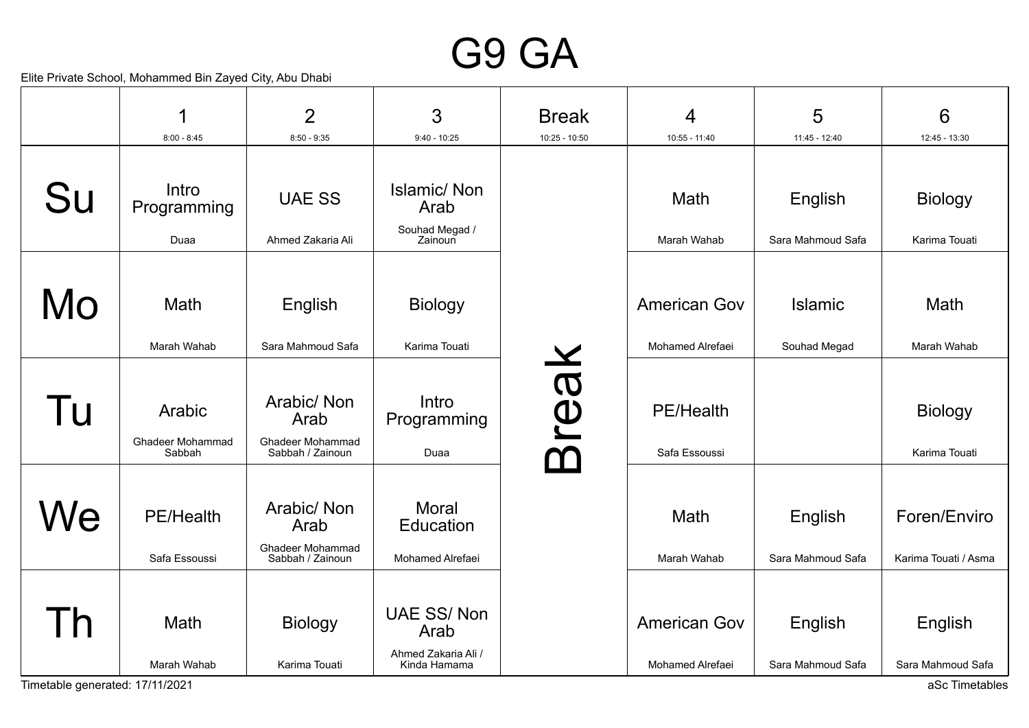#### G9 GA

|    | 1                                           | $\overline{2}$                                                    | 3                                                                | <b>Break</b>    | $\overline{4}$                          | 5                            | 6                                    |
|----|---------------------------------------------|-------------------------------------------------------------------|------------------------------------------------------------------|-----------------|-----------------------------------------|------------------------------|--------------------------------------|
|    | $8:00 - 8:45$                               | $8:50 - 9:35$                                                     | $9:40 - 10:25$                                                   | $10:25 - 10:50$ | $10:55 - 11:40$                         | 11:45 - 12:40                | 12:45 - 13:30                        |
| Su | Intro<br>Programming                        | <b>UAE SS</b>                                                     | Islamic/Non<br>Arab<br>Souhad Megad /                            |                 | Math                                    | English                      | <b>Biology</b>                       |
|    | Duaa                                        | Ahmed Zakaria Ali                                                 | Zainoun                                                          |                 | Marah Wahab                             | Sara Mahmoud Safa            | Karima Touati                        |
| Mo | Math                                        | English                                                           | <b>Biology</b>                                                   |                 | <b>American Gov</b>                     | <b>Islamic</b>               | Math                                 |
|    | Marah Wahab                                 | Sara Mahmoud Safa                                                 | Karima Touati                                                    |                 | <b>Mohamed Alrefaei</b>                 | Souhad Megad                 | Marah Wahab                          |
| Tu | Arabic<br><b>Ghadeer Mohammad</b><br>Sabbah | Arabic/ Non<br>Arab<br>Ghadeer Mohammad<br>Sabbah / Zainoun       | Intro<br>Programming<br>Duaa                                     | <b>IBOJ</b>     | PE/Health<br>Safa Essoussi              |                              | <b>Biology</b><br>Karima Touati      |
| We | PE/Health<br>Safa Essoussi                  | Arabic/Non<br>Arab<br><b>Ghadeer Mohammad</b><br>Sabbah / Zainoun | <b>Moral</b><br><b>Education</b><br><b>Mohamed Alrefaei</b>      |                 | Math<br>Marah Wahab                     | English<br>Sara Mahmoud Safa | Foren/Enviro<br>Karima Touati / Asma |
|    | Math<br>Marah Wahab                         | <b>Biology</b><br>Karima Touati                                   | <b>UAE SS/Non</b><br>Arab<br>Ahmed Zakaria Ali /<br>Kinda Hamama |                 | <b>American Gov</b><br>Mohamed Alrefaei | English<br>Sara Mahmoud Safa | English<br>Sara Mahmoud Safa         |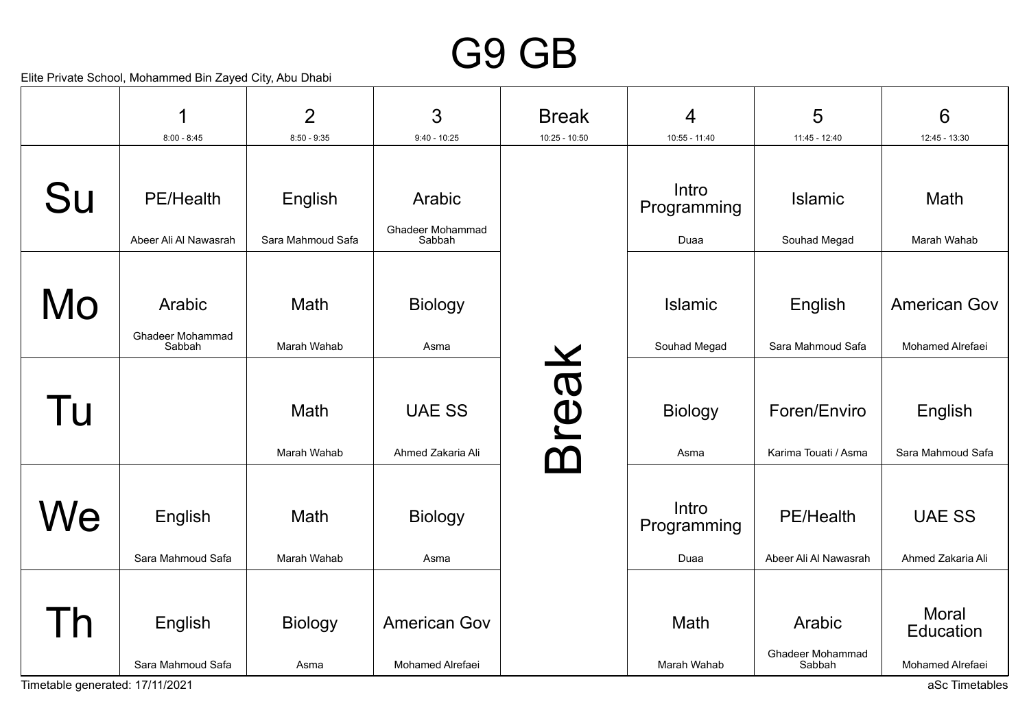### G9 GB

|    |                                             | $\overline{2}$               | 3                                           | <b>Break</b>  | 4                              | 5                                         | 6                                             |
|----|---------------------------------------------|------------------------------|---------------------------------------------|---------------|--------------------------------|-------------------------------------------|-----------------------------------------------|
|    | $8:00 - 8:45$                               | $8:50 - 9:35$                | $9:40 - 10:25$                              | 10:25 - 10:50 | 10:55 - 11:40                  | 11:45 - 12:40                             | 12:45 - 13:30                                 |
| Su | <b>PE/Health</b><br>Abeer Ali Al Nawasrah   | English<br>Sara Mahmoud Safa | Arabic<br><b>Ghadeer Mohammad</b><br>Sabbah |               | Intro<br>Programming<br>Duaa   | <b>Islamic</b><br>Souhad Megad            | Math<br>Marah Wahab                           |
|    |                                             |                              |                                             |               |                                |                                           |                                               |
| Mo | Arabic<br><b>Ghadeer Mohammad</b><br>Sabbah | Math<br>Marah Wahab          | <b>Biology</b><br>Asma                      |               | <b>Islamic</b><br>Souhad Megad | English<br>Sara Mahmoud Safa              | <b>American Gov</b><br>Mohamed Alrefaei       |
| Tu |                                             | Math<br>Marah Wahab          | <b>UAE SS</b><br>Ahmed Zakaria Ali          | real          | <b>Biology</b><br>Asma         | Foren/Enviro<br>Karima Touati / Asma      | English<br>Sara Mahmoud Safa                  |
| We | English<br>Sara Mahmoud Safa                | Math<br>Marah Wahab          | <b>Biology</b><br>Asma                      |               | Intro<br>Programming<br>Duaa   | <b>PE/Health</b><br>Abeer Ali Al Nawasrah | <b>UAE SS</b><br>Ahmed Zakaria Ali            |
|    | English<br>Sara Mahmoud Safa                | <b>Biology</b><br>Asma       | <b>American Gov</b><br>Mohamed Alrefaei     |               | Math<br>Marah Wahab            | Arabic<br>Ghadeer Mohammad<br>Sabbah      | <b>Moral</b><br>Education<br>Mohamed Alrefaei |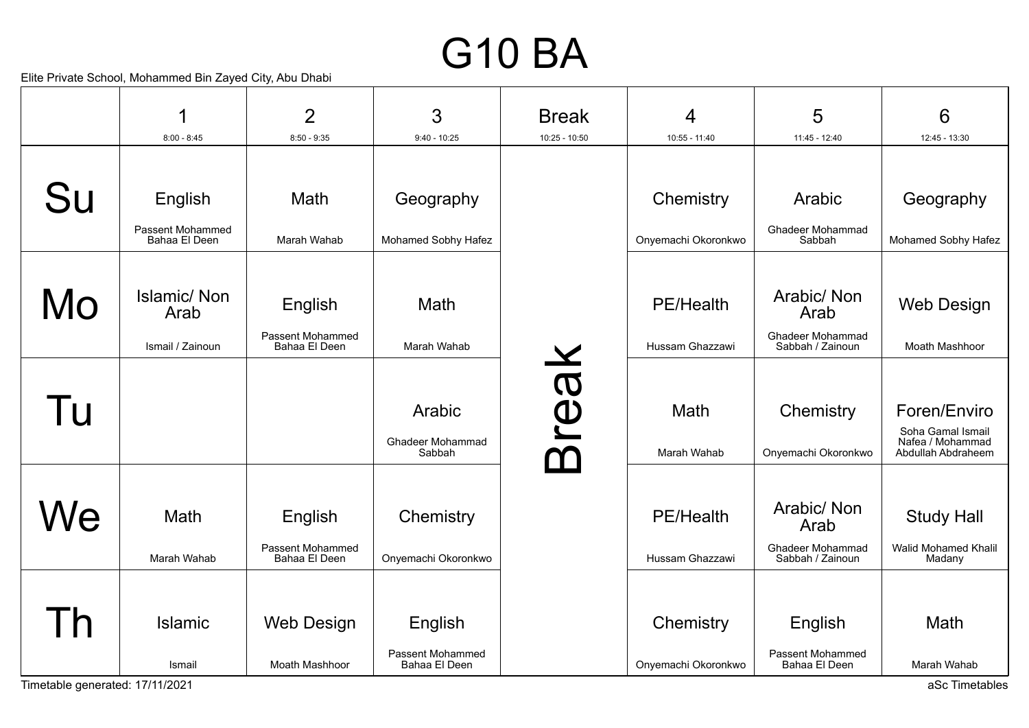# G10 BA

Elite Private School, Mohammed Bin Zayed City, Abu Dhabi

|    | 1                                                   | $\overline{2}$                               | 3                                            | <b>Break</b>    | 4                                   | 5                                                                 | 6                                                                           |
|----|-----------------------------------------------------|----------------------------------------------|----------------------------------------------|-----------------|-------------------------------------|-------------------------------------------------------------------|-----------------------------------------------------------------------------|
|    | $8:00 - 8:45$                                       | $8:50 - 9:35$                                | $9:40 - 10:25$                               | $10:25 - 10:50$ | $10:55 - 11:40$                     | $11:45 - 12:40$                                                   | $12:45 - 13:30$                                                             |
| Su | English<br><b>Passent Mohammed</b><br>Bahaa El Deen | Math<br>Marah Wahab                          | Geography<br>Mohamed Sobhy Hafez             |                 | Chemistry<br>Onyemachi Okoronkwo    | Arabic<br><b>Ghadeer Mohammad</b><br>Sabbah                       | Geography<br>Mohamed Sobhy Hafez                                            |
|    |                                                     |                                              |                                              |                 |                                     |                                                                   |                                                                             |
| Mo | <b>Islamic/Non</b><br>Arab                          | English                                      | Math                                         |                 | <b>PE/Health</b>                    | Arabic/Non<br>Arab                                                | <b>Web Design</b>                                                           |
|    | Ismail / Zainoun                                    | Passent Mohammed<br>Bahaa El Deen            | Marah Wahab                                  |                 | Hussam Ghazzawi                     | <b>Ghadeer Mohammad</b><br>Sabbah / Zainoun                       | <b>Moath Mashhoor</b>                                                       |
| Tu |                                                     |                                              | Arabic<br><b>Ghadeer Mohammad</b><br>Sabbah  | Break           | Math<br>Marah Wahab                 | Chemistry<br>Onyemachi Okoronkwo                                  | Foren/Enviro<br>Soha Gamal Ismail<br>Nafea / Mohammad<br>Abdullah Abdraheem |
| Ve | Math<br>Marah Wahab                                 | English<br>Passent Mohammed<br>Bahaa El Deen | Chemistry<br>Onyemachi Okoronkwo             |                 | <b>PE/Health</b><br>Hussam Ghazzawi | Arabic/Non<br>Arab<br><b>Ghadeer Mohammad</b><br>Sabbah / Zainoun | <b>Study Hall</b><br><b>Walid Mohamed Khalil</b><br>Madany                  |
|    | <b>Islamic</b><br>Ismail                            | <b>Web Design</b><br>Moath Mashhoor          | English<br>Passent Mohammed<br>Bahaa El Deen |                 | Chemistry<br>Onyemachi Okoronkwo    | English<br>Passent Mohammed<br>Bahaa El Deen                      | Math<br>Marah Wahab                                                         |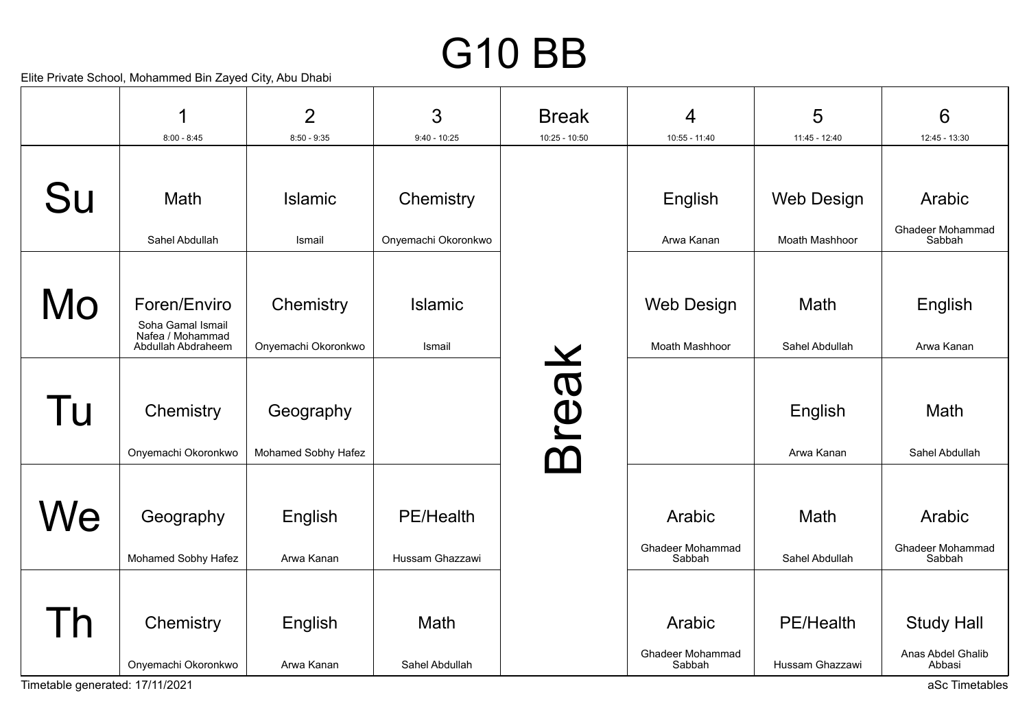## G10 BB

|                                 | 1                                                                           |                                  |                                     |                                 |                                             |                                     | $6\phantom{1}6$                                                    |
|---------------------------------|-----------------------------------------------------------------------------|----------------------------------|-------------------------------------|---------------------------------|---------------------------------------------|-------------------------------------|--------------------------------------------------------------------|
|                                 | $8:00 - 8:45$                                                               | $\overline{2}$<br>$8:50 - 9:35$  | 3<br>$9:40 - 10:25$                 | <b>Break</b><br>$10:25 - 10:50$ | 4<br>$10:55 - 11:40$                        | 5<br>11:45 - 12:40                  | 12:45 - 13:30                                                      |
| Su                              | Math                                                                        | <b>Islamic</b>                   | Chemistry                           |                                 | English                                     | <b>Web Design</b>                   | Arabic                                                             |
|                                 | Sahel Abdullah                                                              | Ismail                           | Onyemachi Okoronkwo                 |                                 | Arwa Kanan                                  | Moath Mashhoor                      | Ghadeer Mohammad<br>Sabbah                                         |
| Mo                              | Foren/Enviro<br>Soha Gamal Ismail<br>Nafea / Mohammad<br>Abdullah Abdraheem | Chemistry<br>Onyemachi Okoronkwo | Islamic<br>Ismail                   |                                 | <b>Web Design</b><br>Moath Mashhoor         | Math<br>Sahel Abdullah              | English<br>Arwa Kanan                                              |
| Tu                              | Chemistry<br>Onyemachi Okoronkwo                                            | Geography<br>Mohamed Sobhy Hafez |                                     | <b>NOOI</b>                     |                                             | English<br>Arwa Kanan               | Math<br>Sahel Abdullah                                             |
| We                              | Geography<br>Mohamed Sobhy Hafez                                            | English<br>Arwa Kanan            | <b>PE/Health</b><br>Hussam Ghazzawi |                                 | Arabic<br><b>Ghadeer Mohammad</b><br>Sabbah | Math<br>Sahel Abdullah              | Arabic<br><b>Ghadeer Mohammad</b><br>Sabbah                        |
| Timetable generated: 17/11/2021 | Chemistry<br>Onyemachi Okoronkwo                                            | English<br>Arwa Kanan            | Math<br>Sahel Abdullah              |                                 | Arabic<br>Ghadeer Mohammad<br>Sabbah        | <b>PE/Health</b><br>Hussam Ghazzawi | <b>Study Hall</b><br>Anas Abdel Ghalib<br>Abbasi<br>aSc Timetables |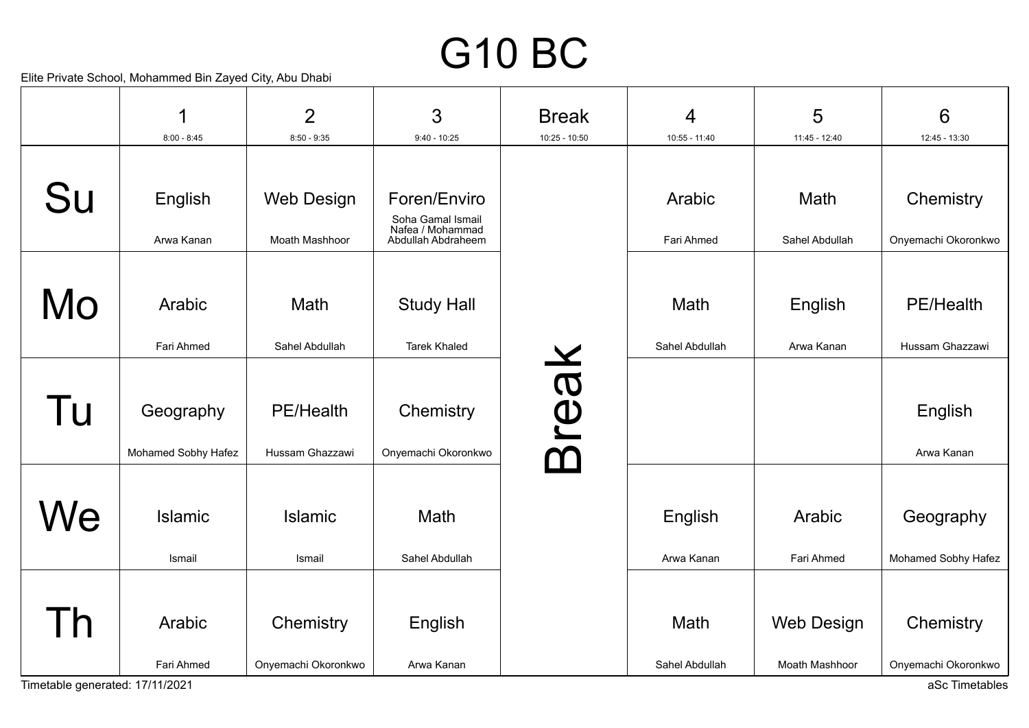# G10 BC

|                                 | 1                                | $\overline{2}$                      | 3                                                     | <b>Break</b>    | 4                      | 5                                   | $6\phantom{1}6$                     |
|---------------------------------|----------------------------------|-------------------------------------|-------------------------------------------------------|-----------------|------------------------|-------------------------------------|-------------------------------------|
|                                 | $8:00 - 8:45$                    | $8:50 - 9:35$                       | $9:40 - 10:25$                                        | $10:25 - 10:50$ | 10:55 - 11:40          | 11:45 - 12:40                       | 12:45 - 13:30                       |
| Su                              | English                          | Web Design                          | Foren/Enviro<br>Soha Gamal Ismail<br>Nafea / Mohammad |                 | Arabic                 | Math                                | Chemistry                           |
|                                 | Arwa Kanan                       | Moath Mashhoor                      | Abdullah Abdraheem                                    |                 | Fari Ahmed             | Sahel Abdullah                      | Onyemachi Okoronkwo                 |
| Mo                              | Arabic<br>Fari Ahmed             | Math<br>Sahel Abdullah              | <b>Study Hall</b><br><b>Tarek Khaled</b>              |                 | Math<br>Sahel Abdullah | English<br>Arwa Kanan               | <b>PE/Health</b><br>Hussam Ghazzawi |
|                                 |                                  |                                     |                                                       |                 |                        |                                     |                                     |
| Tu                              | Geography<br>Mohamed Sobhy Hafez | <b>PE/Health</b><br>Hussam Ghazzawi | Chemistry<br>Onyemachi Okoronkwo                      | <b>Preak</b>    |                        |                                     | English<br>Arwa Kanan               |
| <b>Ne</b>                       | Islamic<br>Ismail                | <b>Islamic</b><br>Ismail            | Math<br>Sahel Abdullah                                |                 | English<br>Arwa Kanan  | Arabic<br>Fari Ahmed                | Geography<br>Mohamed Sobhy Hafez    |
|                                 | Arabic<br>Fari Ahmed             | Chemistry<br>Onyemachi Okoronkwo    | English<br>Arwa Kanan                                 |                 | Math<br>Sahel Abdullah | <b>Web Design</b><br>Moath Mashhoor | Chemistry<br>Onyemachi Okoronkwo    |
| Timetable generated: 17/11/2021 |                                  |                                     |                                                       |                 |                        |                                     | aSc Timetables                      |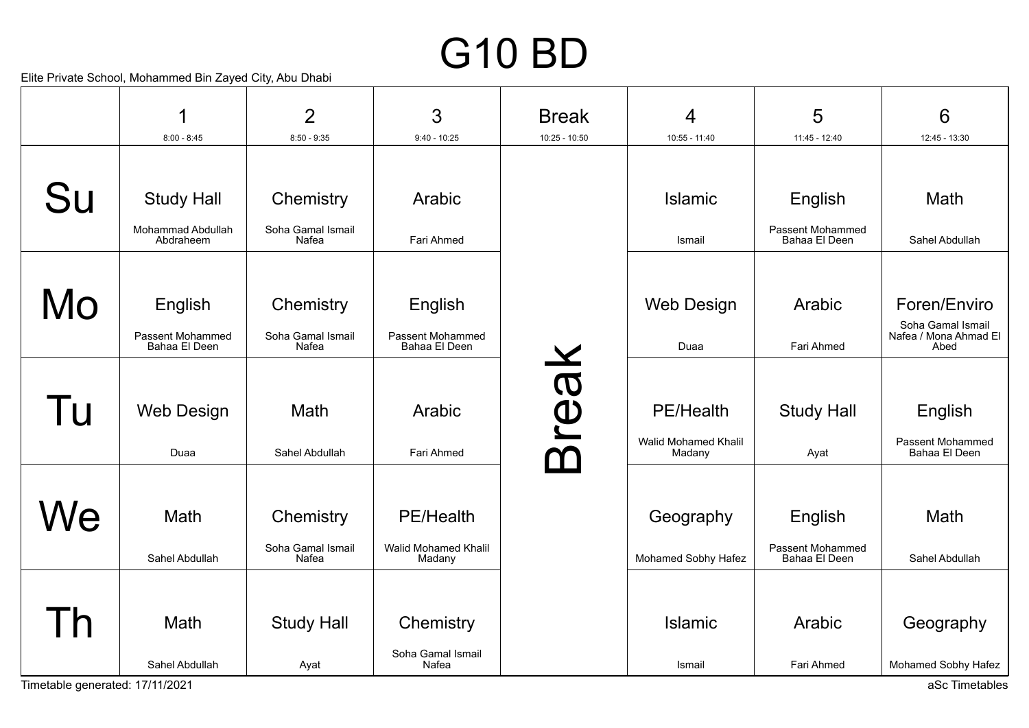# G10 BD

|    | 1                                                   | $\overline{2}$                          | 3                                                   | <b>Break</b>    | $\overline{4}$                                     | 5                                            | $6\phantom{1}6$                                                    |
|----|-----------------------------------------------------|-----------------------------------------|-----------------------------------------------------|-----------------|----------------------------------------------------|----------------------------------------------|--------------------------------------------------------------------|
|    | $8:00 - 8:45$                                       | $8:50 - 9:35$                           | $9:40 - 10:25$                                      | $10:25 - 10:50$ | $10:55 - 11:40$                                    | 11:45 - 12:40                                | 12:45 - 13:30                                                      |
| Su | <b>Study Hall</b><br>Mohammad Abdullah              | Chemistry<br>Soha Gamal Ismail          | Arabic                                              |                 | <b>Islamic</b>                                     | English<br>Passent Mohammed                  | Math                                                               |
|    | Abdraheem                                           | Nafea                                   | Fari Ahmed                                          |                 | Ismail                                             | Bahaa El Deen                                | Sahel Abdullah                                                     |
| Mo | English<br><b>Passent Mohammed</b><br>Bahaa El Deen | Chemistry<br>Soha Gamal Ismail<br>Nafea | English<br><b>Passent Mohammed</b><br>Bahaa El Deen |                 | <b>Web Design</b><br>Duaa                          | Arabic<br>Fari Ahmed                         | Foren/Enviro<br>Soha Gamal Ismail<br>Nafea / Mona Ahmad El<br>Abed |
| Tu | Web Design<br>Duaa                                  | Math<br>Sahel Abdullah                  | Arabic<br>Fari Ahmed                                | <b>IBO</b><br>M | <b>PE/Health</b><br>Walid Mohamed Khalil<br>Madany | <b>Study Hall</b><br>Ayat                    | English<br>Passent Mohammed<br>Bahaa El Deen                       |
| We | Math<br>Sahel Abdullah                              | Chemistry<br>Soha Gamal Ismail<br>Nafea | <b>PE/Health</b><br>Walid Mohamed Khalil<br>Madany  |                 | Geography<br>Mohamed Sobhy Hafez                   | English<br>Passent Mohammed<br>Bahaa El Deen | Math<br>Sahel Abdullah                                             |
|    | Math<br>Sahel Abdullah                              | <b>Study Hall</b><br>Ayat               | Chemistry<br>Soha Gamal Ismail<br>Nafea             |                 | <b>Islamic</b><br>Ismail                           | Arabic<br>Fari Ahmed                         | Geography<br>Mohamed Sobhy Hafez<br>aSc Timetables                 |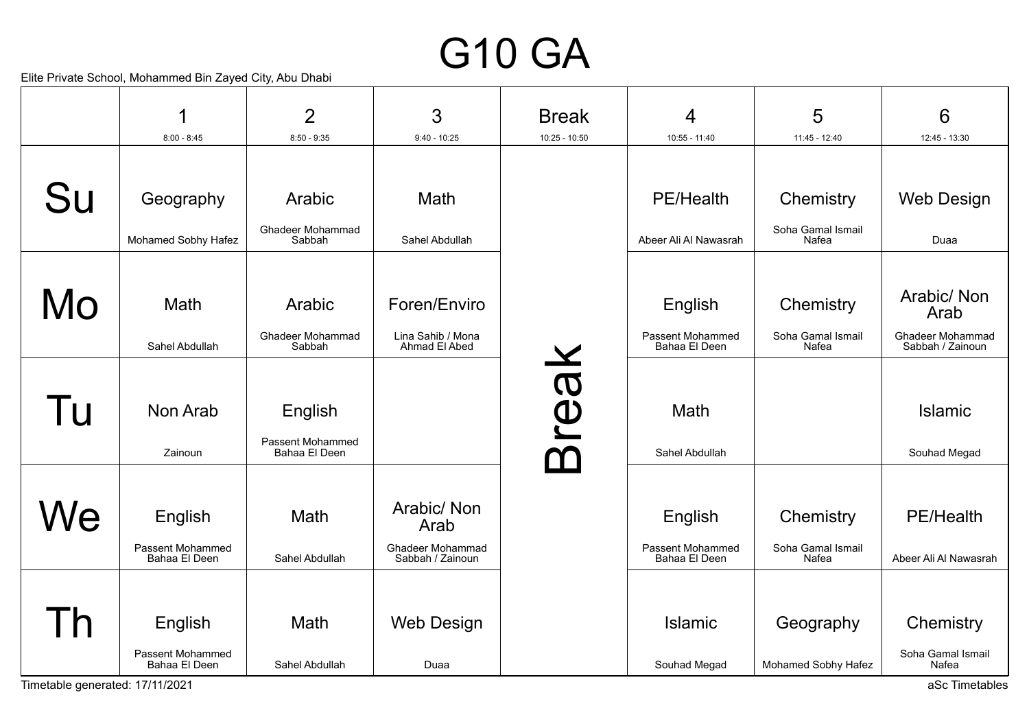## G10 GA

Elite Private School, Mohammed Bin Zayed City, Abu Dhabi

|    | 1                                                   | $\overline{2}$                               | 3                                                                 | <b>Break</b>    | 4                                            | 5                                       | 6                                              |
|----|-----------------------------------------------------|----------------------------------------------|-------------------------------------------------------------------|-----------------|----------------------------------------------|-----------------------------------------|------------------------------------------------|
|    | $8:00 - 8:45$                                       | $8:50 - 9:35$                                | $9:40 - 10:25$                                                    | $10:25 - 10:50$ | 10:55 - 11:40                                | 11:45 - 12:40                           | 12:45 - 13:30                                  |
| Su | Geography<br>Mohamed Sobhy Hafez                    | Arabic<br><b>Ghadeer Mohammad</b><br>Sabbah  | Math<br>Sahel Abdullah                                            |                 | <b>PE/Health</b><br>Abeer Ali Al Nawasrah    | Chemistry<br>Soha Gamal Ismail<br>Nafea | <b>Web Design</b><br>Duaa                      |
| Mo | Math                                                | Arabic<br><b>Ghadeer Mohammad</b>            | Foren/Enviro<br>Lina Sahib / Mona                                 |                 | English<br><b>Passent Mohammed</b>           | Chemistry<br>Soha Gamal Ismail          | Arabic/ Non<br>Arab<br><b>Ghadeer Mohammad</b> |
|    | Sahel Abdullah                                      | Sabbah                                       | Ahmad El Abed                                                     |                 | Bahaa El Deen                                | Nafea                                   | Sabbah / Zainoun                               |
| Tu | Non Arab<br>Zainoun                                 | English<br>Passent Mohammed<br>Bahaa El Deen |                                                                   | <b>NOOI</b>     | Math<br>Sahel Abdullah                       |                                         | <b>Islamic</b><br>Souhad Megad                 |
| Ve | English<br><b>Passent Mohammed</b><br>Bahaa El Deen | Math<br>Sahel Abdullah                       | Arabic/Non<br>Arab<br><b>Ghadeer Mohammad</b><br>Sabbah / Zainoun |                 | English<br>Passent Mohammed<br>Bahaa El Deen | Chemistry<br>Soha Gamal Ismail<br>Nafea | <b>PE/Health</b><br>Abeer Ali Al Nawasrah      |
|    | English<br><b>Passent Mohammed</b><br>Bahaa El Deen | <b>Math</b><br>Sahel Abdullah                | <b>Web Design</b><br>Duaa                                         |                 | <b>Islamic</b><br>Souhad Megad               | Geography<br>Mohamed Sobhy Hafez        | Chemistry<br>Soha Gamal Ismail<br>Nafea        |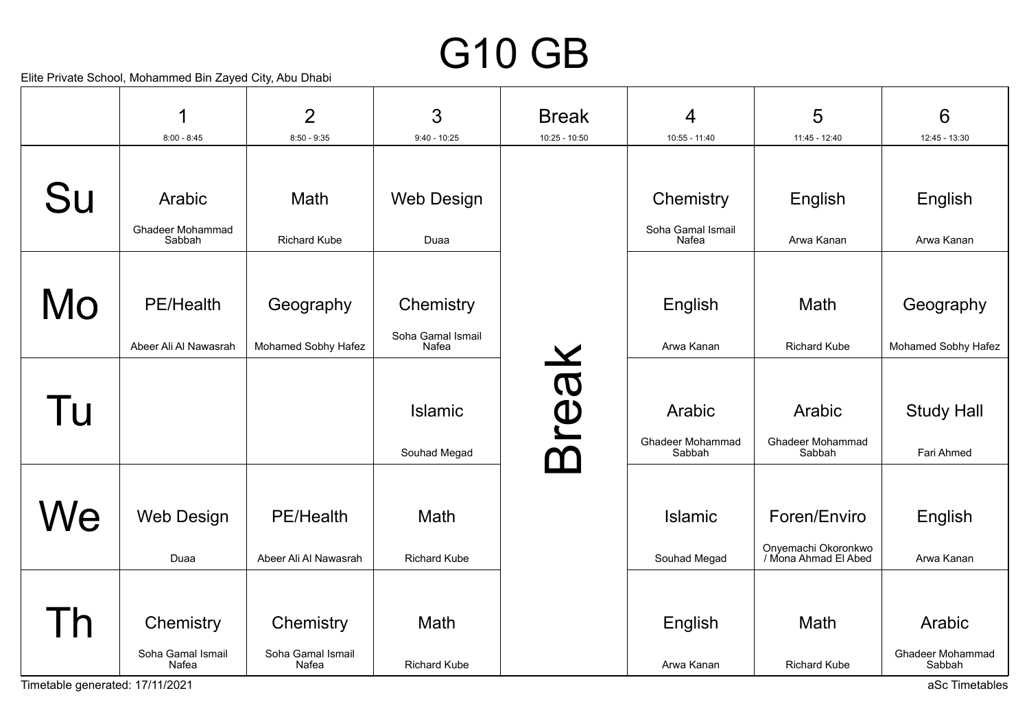# G10 GB

Elite Private School, Mohammed Bin Zayed City, Abu Dhabi

|    | 1<br>$8:00 - 8:45$                | $\overline{2}$<br>$8:50 - 9:35$ | 3<br>$9:40 - 10:25$        | <b>Break</b><br>10:25 - 10:50 | 4<br>10:55 - 11:40         | 5<br>11:45 - 12:40                          | $6\phantom{1}6$<br>12:45 - 13:30  |
|----|-----------------------------------|---------------------------------|----------------------------|-------------------------------|----------------------------|---------------------------------------------|-----------------------------------|
|    |                                   |                                 |                            |                               |                            |                                             |                                   |
| Su | Arabic                            | Math                            | <b>Web Design</b>          |                               | Chemistry                  | English                                     | English                           |
|    | <b>Ghadeer Mohammad</b><br>Sabbah | <b>Richard Kube</b>             | Duaa                       |                               | Soha Gamal Ismail<br>Nafea | Arwa Kanan                                  | Arwa Kanan                        |
|    |                                   |                                 |                            |                               |                            |                                             |                                   |
| Mo | <b>PE/Health</b>                  | Geography                       | Chemistry                  |                               | English                    | Math                                        | Geography                         |
|    | Abeer Ali Al Nawasrah             | Mohamed Sobhy Hafez             | Soha Gamal Ismail<br>Nafea |                               | Arwa Kanan                 | <b>Richard Kube</b>                         | Mohamed Sobhy Hafez               |
|    |                                   |                                 |                            | <b>NOSI</b>                   |                            |                                             |                                   |
| Tu |                                   |                                 | Islamic                    |                               | Arabic                     | Arabic                                      | <b>Study Hall</b>                 |
|    |                                   |                                 | Souhad Megad               | $\mathbf T$                   | Ghadeer Mohammad<br>Sabbah | <b>Ghadeer Mohammad</b><br>Sabbah           | Fari Ahmed                        |
|    |                                   |                                 |                            |                               |                            |                                             |                                   |
| We | Web Design                        | <b>PE/Health</b>                | Math                       |                               | Islamic                    | Foren/Enviro                                | English                           |
|    | Duaa                              | Abeer Ali Al Nawasrah           | <b>Richard Kube</b>        |                               | Souhad Megad               | Onyemachi Okoronkwo<br>/ Mona Ahmad El Abed | Arwa Kanan                        |
|    |                                   |                                 |                            |                               |                            |                                             |                                   |
|    | Chemistry                         | Chemistry                       | Math                       |                               | English                    | Math                                        | Arabic                            |
|    | Soha Gamal Ismail<br>Nafea        | Soha Gamal Ismail<br>Nafea      | <b>Richard Kube</b>        |                               | Arwa Kanan                 | <b>Richard Kube</b>                         | <b>Ghadeer Mohammad</b><br>Sabbah |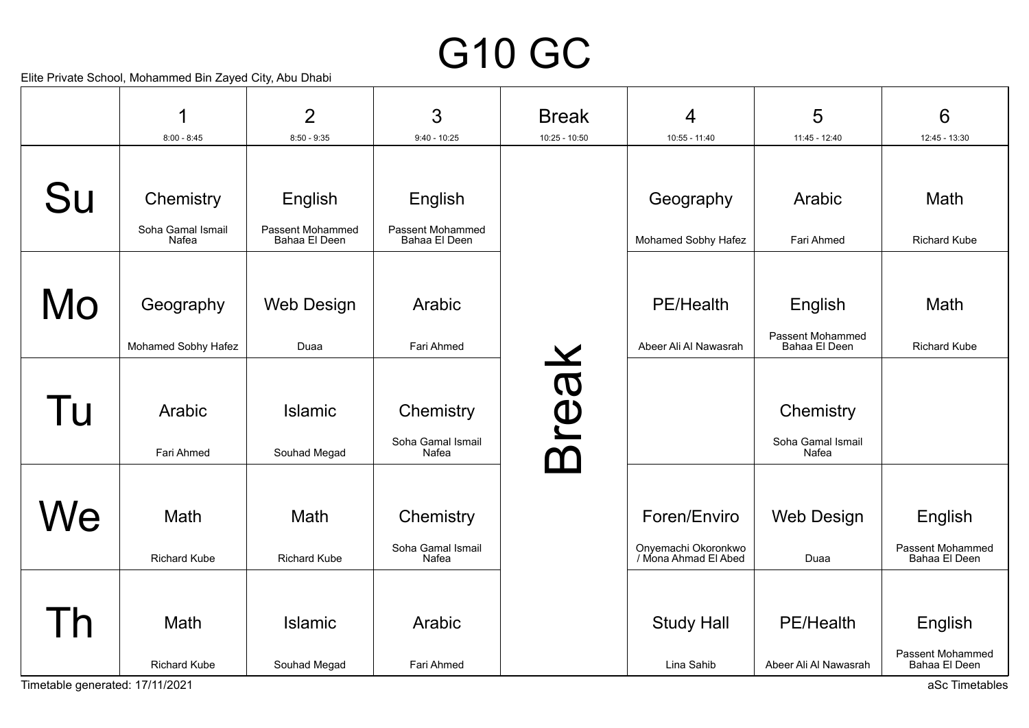## G10 GC

|     | $8:00 - 8:45$                    | $8:50 - 9:35$                      |                                         |                 | 4                                                           | 5                                                   | $6\phantom{1}6$                              |
|-----|----------------------------------|------------------------------------|-----------------------------------------|-----------------|-------------------------------------------------------------|-----------------------------------------------------|----------------------------------------------|
|     |                                  |                                    | $9:40 - 10:25$                          | $10:25 - 10:50$ | $10:55 - 11:40$                                             | 11:45 - 12:40                                       | 12:45 - 13:30                                |
| Su  | Chemistry<br>Soha Gamal Ismail   | English<br><b>Passent Mohammed</b> | English<br>Passent Mohammed             |                 | Geography                                                   | Arabic                                              | Math                                         |
|     | Nafea                            | Bahaa El Deen                      | Bahaa El Deen                           |                 | Mohamed Sobhy Hafez                                         | Fari Ahmed                                          | <b>Richard Kube</b>                          |
| Mo  | Geography<br>Mohamed Sobhy Hafez | <b>Web Design</b><br>Duaa          | Arabic<br>Fari Ahmed                    |                 | <b>PE/Health</b><br>Abeer Ali Al Nawasrah                   | English<br><b>Passent Mohammed</b><br>Bahaa El Deen | Math<br><b>Richard Kube</b>                  |
|     |                                  |                                    |                                         |                 |                                                             |                                                     |                                              |
| l U | Arabic<br>Fari Ahmed             | <b>Islamic</b><br>Souhad Megad     | Chemistry<br>Soha Gamal Ismail<br>Nafea | <b>IBOJ</b>     |                                                             | Chemistry<br>Soha Gamal Ismail<br>Nafea             |                                              |
| Ne  | Math<br><b>Richard Kube</b>      | Math<br><b>Richard Kube</b>        | Chemistry<br>Soha Gamal Ismail<br>Nafea |                 | Foren/Enviro<br>Onyemachi Okoronkwo<br>/ Mona Ahmad El Abed | <b>Web Design</b><br>Duaa                           | English<br>Passent Mohammed<br>Bahaa El Deen |
|     | Math<br><b>Richard Kube</b>      | <b>Islamic</b><br>Souhad Megad     | Arabic<br>Fari Ahmed                    |                 | <b>Study Hall</b><br>Lina Sahib                             | <b>PE/Health</b><br>Abeer Ali Al Nawasrah           | English<br>Passent Mohammed<br>Bahaa El Deen |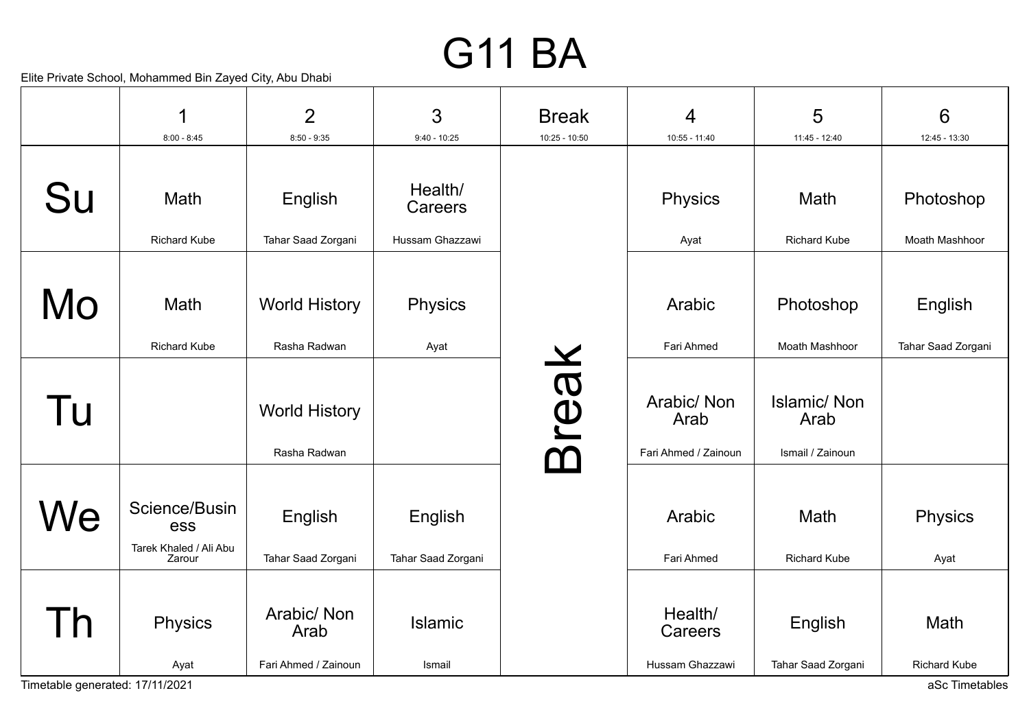## G11 BA

|                                 | 1                                                        | $\overline{2}$                              | 3                             | <b>Break</b>    | $\overline{4}$                              | 5                                              | $6\phantom{1}6$               |
|---------------------------------|----------------------------------------------------------|---------------------------------------------|-------------------------------|-----------------|---------------------------------------------|------------------------------------------------|-------------------------------|
|                                 | $8:00 - 8:45$                                            | $8:50 - 9:35$                               | $9:40 - 10:25$                | $10:25 - 10:50$ | $10:55 - 11:40$                             | 11:45 - 12:40                                  | 12:45 - 13:30                 |
| Su                              | Math                                                     | English                                     | Health/<br>Careers            |                 | Physics                                     | Math                                           | Photoshop                     |
|                                 | <b>Richard Kube</b>                                      | Tahar Saad Zorgani                          | Hussam Ghazzawi               |                 | Ayat                                        | <b>Richard Kube</b>                            | Moath Mashhoor                |
| Mo                              | Math<br><b>Richard Kube</b>                              | <b>World History</b><br>Rasha Radwan        | <b>Physics</b><br>Ayat        |                 | Arabic<br>Fari Ahmed                        | Photoshop<br>Moath Mashhoor                    | English<br>Tahar Saad Zorgani |
| Tu                              |                                                          | <b>World History</b><br>Rasha Radwan        |                               | reak            | Arabic/ Non<br>Arab<br>Fari Ahmed / Zainoun | <b>Islamic/Non</b><br>Arab<br>Ismail / Zainoun |                               |
| We                              | Science/Busin<br>ess<br>Tarek Khaled / Ali Abu<br>Zarour | English<br>Tahar Saad Zorgani               | English<br>Tahar Saad Zorgani |                 | Arabic<br>Fari Ahmed                        | Math<br><b>Richard Kube</b>                    | Physics<br>Ayat               |
|                                 | <b>Physics</b><br>Ayat                                   | Arabic/ Non<br>Arab<br>Fari Ahmed / Zainoun | <b>Islamic</b><br>Ismail      |                 | Health/<br>Careers<br>Hussam Ghazzawi       | English<br>Tahar Saad Zorgani                  | Math<br><b>Richard Kube</b>   |
| Timetable generated: 17/11/2021 |                                                          |                                             |                               |                 |                                             |                                                | aSc Timetables                |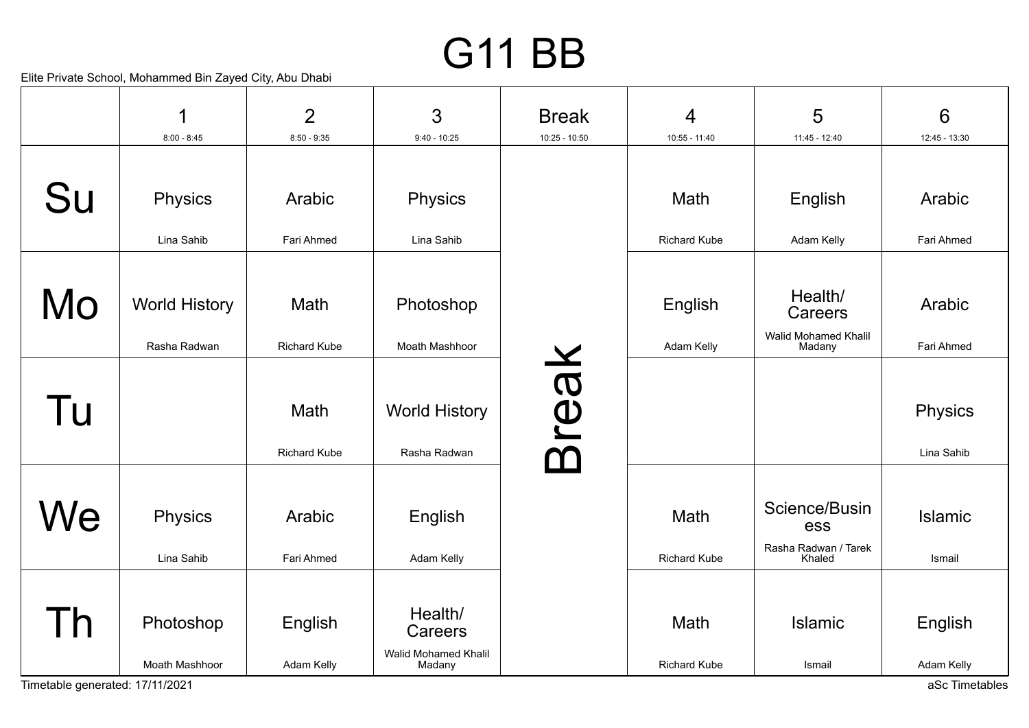# G11 BB

Elite Private School, Mohammed Bin Zayed City, Abu Dhabi

|           | 1<br>$8:00 - 8:45$   | $\overline{2}$<br>$8:50 - 9:35$ | 3<br>$9:40 - 10:25$                  | <b>Break</b><br>$10:25 - 10:50$ | $\overline{4}$<br>$10:55 - 11:40$ | 5<br>11:45 - 12:40                    | 6<br>12:45 - 13:30    |
|-----------|----------------------|---------------------------------|--------------------------------------|---------------------------------|-----------------------------------|---------------------------------------|-----------------------|
|           |                      |                                 |                                      |                                 |                                   |                                       |                       |
| Su        | Physics              | Arabic                          | Physics                              |                                 | Math                              | English                               | Arabic                |
|           | Lina Sahib           | Fari Ahmed                      | Lina Sahib                           |                                 | <b>Richard Kube</b>               | Adam Kelly                            | Fari Ahmed            |
|           |                      |                                 |                                      |                                 |                                   |                                       |                       |
| Mo        | <b>World History</b> | Math                            | Photoshop                            |                                 | English                           | Health/<br>Careers                    | Arabic                |
|           | Rasha Radwan         | <b>Richard Kube</b>             | Moath Mashhoor                       |                                 | Adam Kelly                        | <b>Walid Mohamed Khalil</b><br>Madany | Fari Ahmed            |
| Tu        |                      | Math<br><b>Richard Kube</b>     | <b>World History</b><br>Rasha Radwan | reak<br>$\mathbf 7$             |                                   |                                       | Physics<br>Lina Sahib |
| <b>Ne</b> | Physics              | Arabic                          | English                              |                                 | Math                              | Science/Busin<br>ess                  | Islamic               |
|           | Lina Sahib           | Fari Ahmed                      | Adam Kelly                           |                                 | <b>Richard Kube</b>               | Rasha Radwan / Tarek<br>Khaled        | Ismail                |
|           |                      |                                 |                                      |                                 |                                   |                                       |                       |
|           | Photoshop            | English                         | Health/<br>Careers                   |                                 | Math                              | <b>Islamic</b>                        | English               |
|           | Moath Mashhoor       | Adam Kelly                      | Walid Mohamed Khalil<br>Madany       |                                 | <b>Richard Kube</b>               | Ismail                                | Adam Kelly            |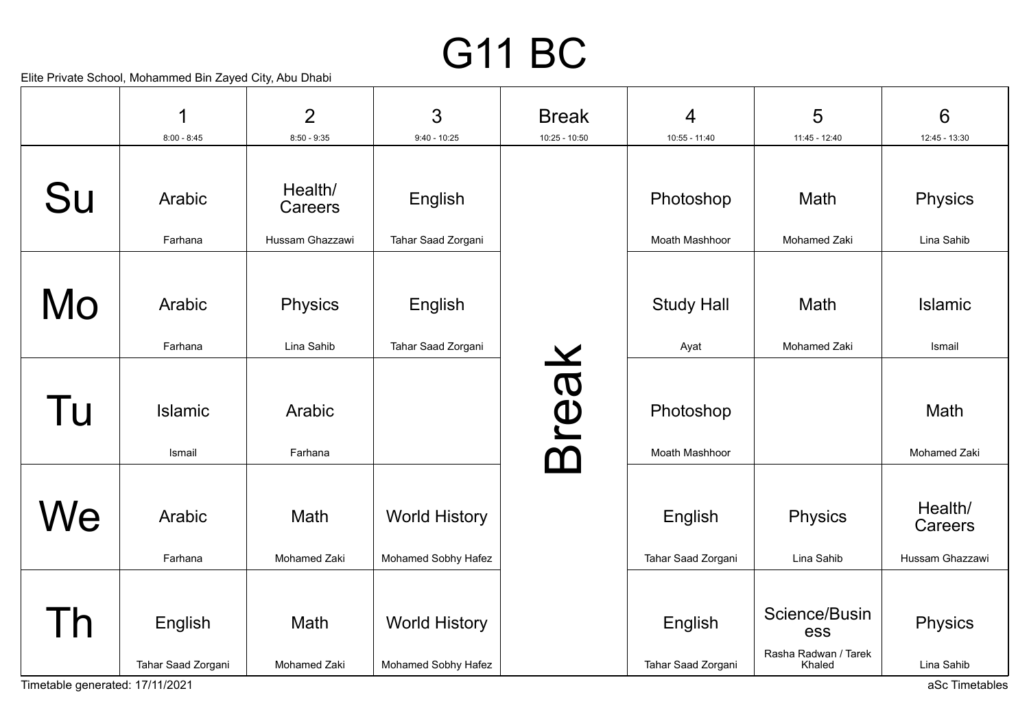# G11 BC

|                                 | 1                             | $\overline{2}$                        | 3                                           | <b>Break</b>    | $\overline{4}$                | 5                                                      | $6\phantom{1}6$                       |
|---------------------------------|-------------------------------|---------------------------------------|---------------------------------------------|-----------------|-------------------------------|--------------------------------------------------------|---------------------------------------|
|                                 | $8:00 - 8:45$                 | $8:50 - 9:35$                         | $9:40 - 10:25$                              | $10:25 - 10:50$ | $10:55 - 11:40$               | 11:45 - 12:40                                          | 12:45 - 13:30                         |
| Su                              | Arabic<br>Farhana             | Health/<br>Careers<br>Hussam Ghazzawi | English<br>Tahar Saad Zorgani               |                 | Photoshop<br>Moath Mashhoor   | Math<br>Mohamed Zaki                                   | Physics<br>Lina Sahib                 |
|                                 |                               |                                       |                                             |                 |                               |                                                        |                                       |
| Mo                              | Arabic<br>Farhana             | Physics<br>Lina Sahib                 | English<br>Tahar Saad Zorgani               |                 | <b>Study Hall</b><br>Ayat     | Math<br>Mohamed Zaki                                   | Islamic<br>Ismail                     |
|                                 |                               |                                       |                                             |                 |                               |                                                        |                                       |
| Tu                              | Islamic<br>Ismail             | Arabic<br>Farhana                     |                                             | <b>Teal</b>     | Photoshop<br>Moath Mashhoor   |                                                        | Math<br>Mohamed Zaki                  |
| We                              | Arabic<br>Farhana             | Math<br>Mohamed Zaki                  | <b>World History</b><br>Mohamed Sobhy Hafez |                 | English<br>Tahar Saad Zorgani | <b>Physics</b><br>Lina Sahib                           | Health/<br>Careers<br>Hussam Ghazzawi |
|                                 | English<br>Tahar Saad Zorgani | Math<br>Mohamed Zaki                  | <b>World History</b><br>Mohamed Sobhy Hafez |                 | English<br>Tahar Saad Zorgani | Science/Busin<br>ess<br>Rasha Radwan / Tarek<br>Khaled | Physics<br>Lina Sahib                 |
| Timetable generated: 17/11/2021 |                               |                                       |                                             |                 |                               |                                                        | aSc Timetables                        |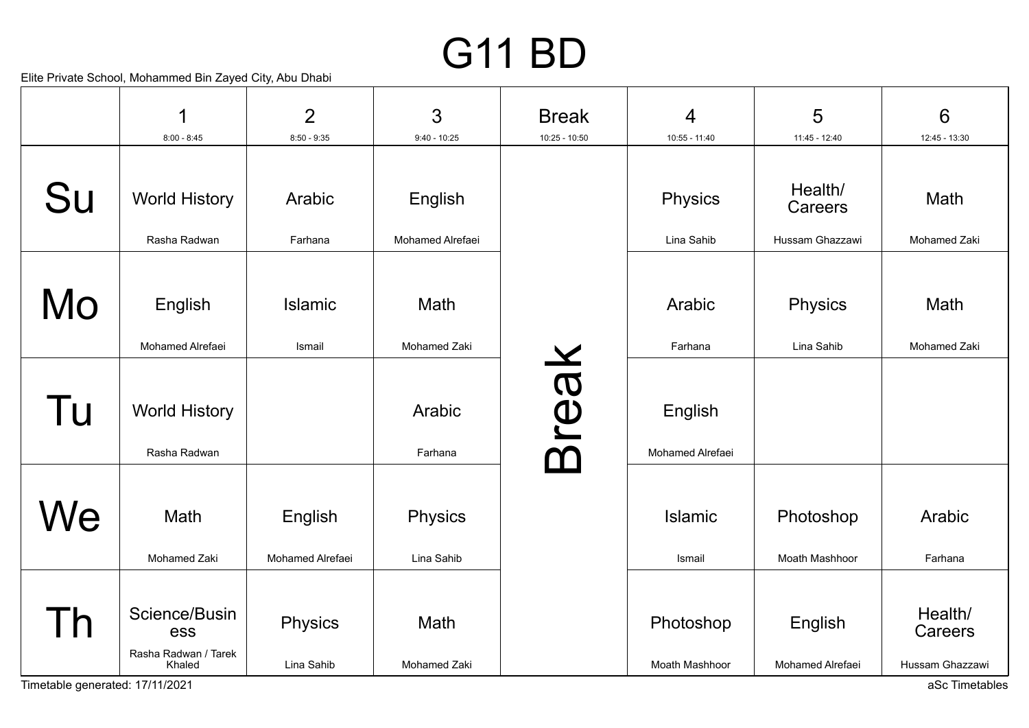# G11 BD

Elite Private School, Mohammed Bin Zayed City, Abu Dhabi

|              | 1                                    | $\overline{2}$              | 3                            | <b>Break</b>    | $\overline{4}$              | 5                           | 6                  |
|--------------|--------------------------------------|-----------------------------|------------------------------|-----------------|-----------------------------|-----------------------------|--------------------|
|              | $8:00 - 8:45$                        | $8:50 - 9:35$               | $9:40 - 10:25$               | $10:25 - 10:50$ | $10:55 - 11:40$             | 11:45 - 12:40               | 12:45 - 13:30      |
| Su           | <b>World History</b>                 | Arabic                      | English                      |                 | Physics                     | Health/<br>Careers          | Math               |
|              | Rasha Radwan                         | Farhana                     | Mohamed Alrefaei             |                 | Lina Sahib                  | Hussam Ghazzawi             | Mohamed Zaki       |
| Mo           | English                              | Islamic                     | Math                         |                 | Arabic                      | <b>Physics</b>              | Math               |
|              | Mohamed Alrefaei                     | Ismail                      | Mohamed Zaki                 |                 | Farhana                     | Lina Sahib                  | Mohamed Zaki       |
| Tu           | <b>World History</b><br>Rasha Radwan |                             | Arabic<br>Farhana            | reak<br>M       | English<br>Mohamed Alrefaei |                             |                    |
| Ve           | Math<br>Mohamed Zaki                 | English<br>Mohamed Alrefaei | <b>Physics</b><br>Lina Sahib |                 | <b>Islamic</b><br>Ismail    | Photoshop<br>Moath Mashhoor | Arabic<br>Farhana  |
|              |                                      |                             |                              |                 |                             |                             |                    |
| $\mathsf{D}$ | Science/Busin<br>ess                 | Physics                     | Math                         |                 | Photoshop                   | English                     | Health/<br>Careers |
|              | Rasha Radwan / Tarek<br>Khaled       | Lina Sahib                  | Mohamed Zaki                 |                 | Moath Mashhoor              | Mohamed Alrefaei            | Hussam Ghazzawi    |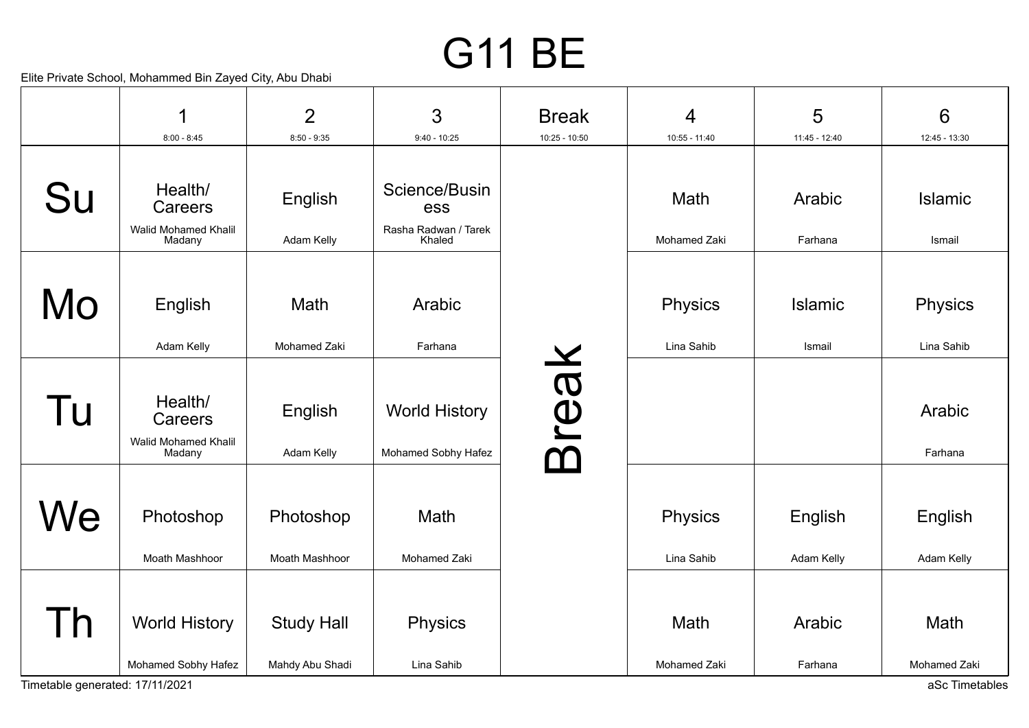# G11 BE

|     | 1                                                    | $\overline{2}$                       | 3                                           | <b>Break</b>                | 4                     | 5                     | $6\phantom{1}6$                        |
|-----|------------------------------------------------------|--------------------------------------|---------------------------------------------|-----------------------------|-----------------------|-----------------------|----------------------------------------|
|     | $8:00 - 8:45$                                        | $8:50 - 9:35$                        | $9:40 - 10:25$                              | $10:25 - 10:50$             | $10:55 - 11:40$       | 11:45 - 12:40         | 12:45 - 13:30                          |
| Su  | Health/<br>Careers                                   | English                              | Science/Busin<br>ess                        |                             | Math                  | Arabic                | Islamic                                |
|     | Walid Mohamed Khalil<br>Madany                       | Adam Kelly                           | Rasha Radwan / Tarek<br>Khaled              |                             | Mohamed Zaki          | Farhana               | Ismail                                 |
| Mo  | English                                              | Math                                 | Arabic                                      |                             | Physics               | Islamic               | Physics                                |
|     | Adam Kelly                                           | Mohamed Zaki                         | Farhana                                     | $\boldsymbol{\times}$       | Lina Sahib            | Ismail                | Lina Sahib                             |
| Tu  | Health/<br>Careers<br>Walid Mohamed Khalil<br>Madany | English<br>Adam Kelly                | <b>World History</b><br>Mohamed Sobhy Hafez | <b>Neel</b><br>$\mathbf{T}$ |                       |                       | Arabic<br>Farhana                      |
| We  | Photoshop<br>Moath Mashhoor                          | Photoshop<br>Moath Mashhoor          | Math<br>Mohamed Zaki                        |                             | Physics<br>Lina Sahib | English<br>Adam Kelly | English<br>Adam Kelly                  |
| l h | <b>World History</b><br>Mohamed Sobhy Hafez          | <b>Study Hall</b><br>Mahdy Abu Shadi | <b>Physics</b><br>Lina Sahib                |                             | Math<br>Mohamed Zaki  | Arabic<br>Farhana     | Math<br>Mohamed Zaki<br>aSc Timetables |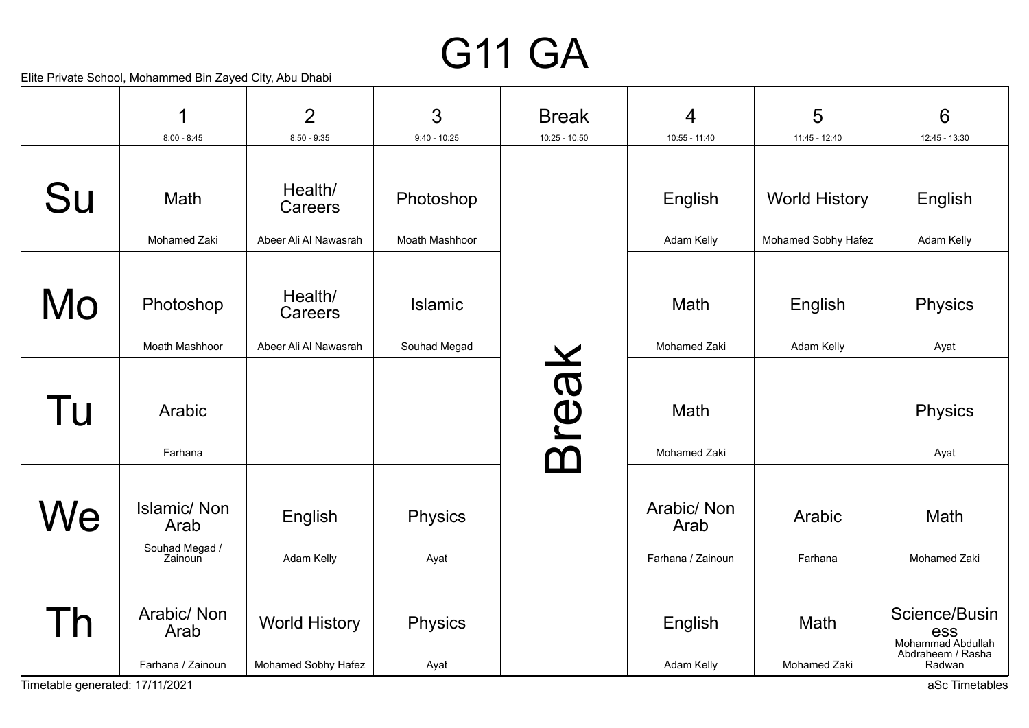## G11 GA

|    | 1                                                       | $\overline{2}$                              | 3                           | <b>Break</b>    | 4                                        | 5                                           | 6                                                                               |
|----|---------------------------------------------------------|---------------------------------------------|-----------------------------|-----------------|------------------------------------------|---------------------------------------------|---------------------------------------------------------------------------------|
|    | $8:00 - 8:45$                                           | $8:50 - 9:35$                               | $9:40 - 10:25$              | $10:25 - 10:50$ | 10:55 - 11:40                            | 11:45 - 12:40                               | 12:45 - 13:30                                                                   |
| Su | Math<br>Mohamed Zaki                                    | Health/<br>Careers<br>Abeer Ali Al Nawasrah | Photoshop<br>Moath Mashhoor |                 | English<br>Adam Kelly                    | <b>World History</b><br>Mohamed Sobhy Hafez | English<br>Adam Kelly                                                           |
|    |                                                         |                                             |                             |                 |                                          |                                             |                                                                                 |
| Mo | Photoshop                                               | Health/<br>Careers                          | <b>Islamic</b>              |                 | Math                                     | English                                     | <b>Physics</b>                                                                  |
|    | Moath Mashhoor                                          | Abeer Ali Al Nawasrah                       | Souhad Megad                |                 | Mohamed Zaki                             | Adam Kelly                                  | Ayat                                                                            |
| Tu | Arabic<br>Farhana                                       |                                             |                             | Break           | Math<br>Mohamed Zaki                     |                                             | <b>Physics</b><br>Ayat                                                          |
| We | <b>Islamic/Non</b><br>Arab<br>Souhad Megad /<br>Zainoun | English<br>Adam Kelly                       | <b>Physics</b><br>Ayat      |                 | Arabic/ Non<br>Arab<br>Farhana / Zainoun | Arabic<br>Farhana                           | Math<br>Mohamed Zaki                                                            |
|    | Arabic/Non<br>Arab<br>Farhana / Zainoun                 | <b>World History</b><br>Mohamed Sobhy Hafez | <b>Physics</b><br>Ayat      |                 | English<br>Adam Kelly                    | Math<br>Mohamed Zaki                        | Science/Busin<br><b>CSS</b><br>Mohammad Abdullah<br>Abdraheem / Rasha<br>Radwan |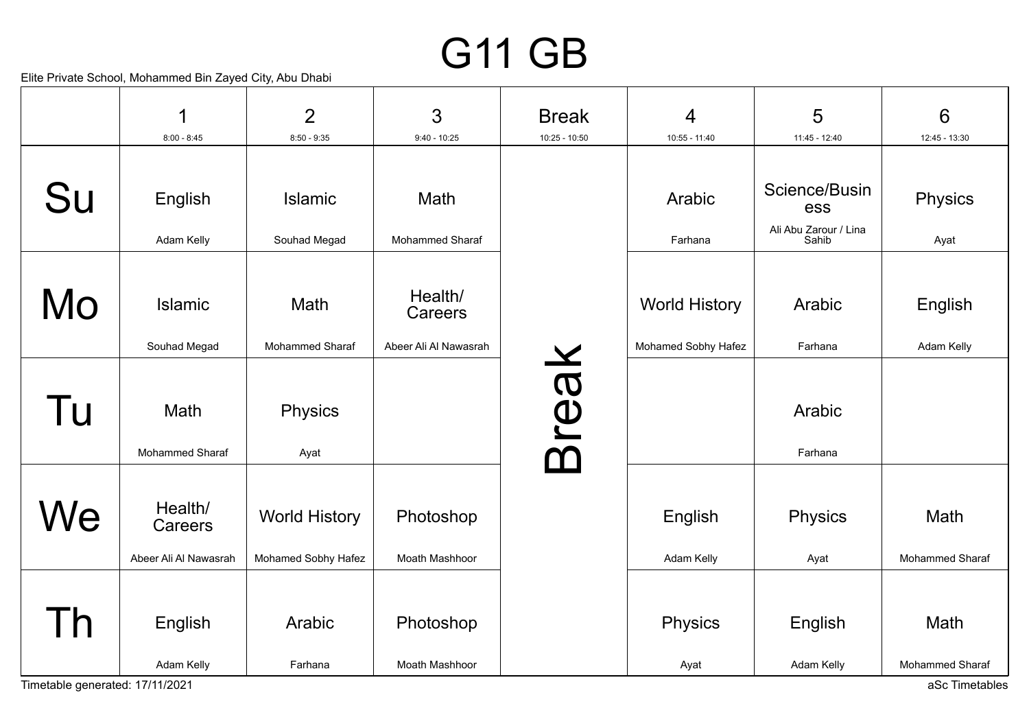# G11 GB

|              | 1                                           | $\overline{2}$                              | 3                                           | <b>Break</b>         | 4                                           | 5                              | $6\phantom{1}6$         |
|--------------|---------------------------------------------|---------------------------------------------|---------------------------------------------|----------------------|---------------------------------------------|--------------------------------|-------------------------|
|              | $8:00 - 8:45$                               | $8:50 - 9:35$                               | $9:40 - 10:25$                              | $10:25 - 10:50$      | $10:55 - 11:40$                             | 11:45 - 12:40                  | 12:45 - 13:30           |
| Su           | English                                     | <b>Islamic</b>                              | Math                                        |                      | Arabic                                      | Science/Busin<br>ess           | Physics                 |
|              | Adam Kelly                                  | Souhad Megad                                | Mohammed Sharaf                             |                      | Farhana                                     | Ali Abu Zarour / Lina<br>Sahib | Ayat                    |
| Mo           | Islamic<br>Souhad Megad                     | Math<br>Mohammed Sharaf                     | Health/<br>Careers<br>Abeer Ali Al Nawasrah |                      | <b>World History</b><br>Mohamed Sobhy Hafez | Arabic<br>Farhana              | English<br>Adam Kelly   |
|              |                                             |                                             |                                             |                      |                                             |                                |                         |
| Tu           | Math<br>Mohammed Sharaf                     | Physics<br>Ayat                             |                                             | reak<br>$\mathbf{C}$ |                                             | Arabic<br>Farhana              |                         |
| We           | Health/<br>Careers<br>Abeer Ali Al Nawasrah | <b>World History</b><br>Mohamed Sobhy Hafez | Photoshop<br>Moath Mashhoor                 |                      | English<br>Adam Kelly                       | Physics<br>Ayat                | Math<br>Mohammed Sharaf |
| $\mathsf{h}$ | English<br>Adam Kelly                       | Arabic<br>Farhana                           | Photoshop<br>Moath Mashhoor                 |                      | Physics<br>Ayat                             | English<br>Adam Kelly          | Math<br>Mohammed Sharaf |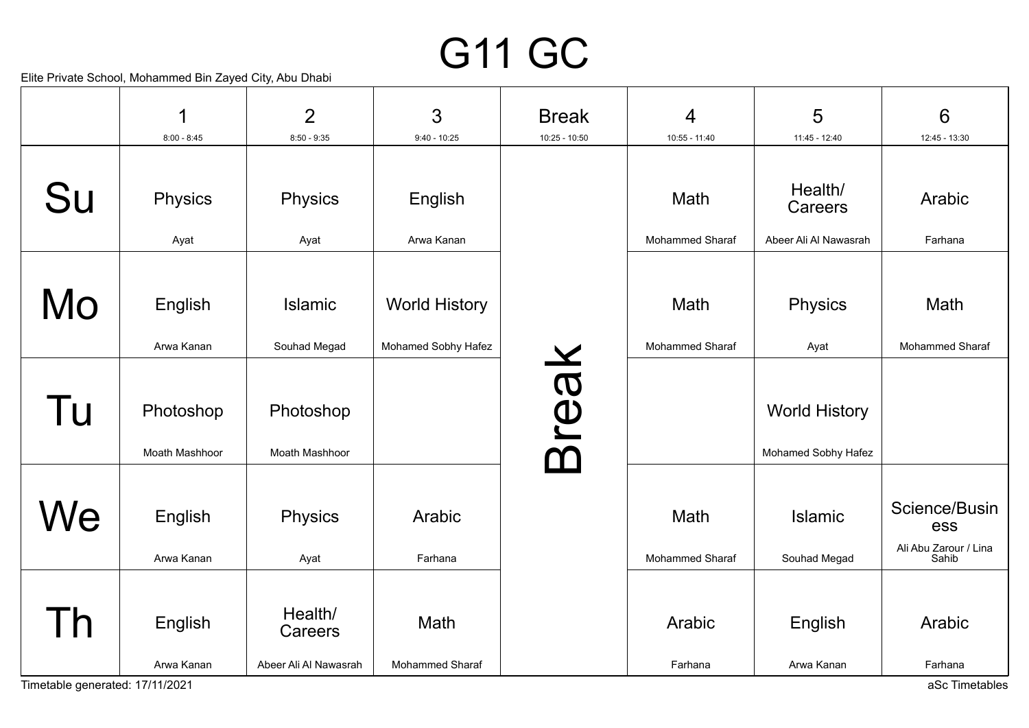# G11 GC

Elite Private School, Mohammed Bin Zayed City, Abu Dhabi

|    | 1                           | $\overline{2}$              | 3                      | <b>Break</b>     | $\overline{4}$          | 5                                           | 6                                                      |
|----|-----------------------------|-----------------------------|------------------------|------------------|-------------------------|---------------------------------------------|--------------------------------------------------------|
|    | $8:00 - 8:45$               | $8:50 - 9:35$               | $9:40 - 10:25$         | $10:25 - 10:50$  | 10:55 - 11:40           | 11:45 - 12:40                               | 12:45 - 13:30                                          |
|    |                             |                             |                        |                  |                         |                                             |                                                        |
| Su | Physics                     | Physics                     | English                |                  | Math                    | Health/<br>Careers                          | Arabic                                                 |
|    | Ayat                        | Ayat                        | Arwa Kanan             |                  | Mohammed Sharaf         | Abeer Ali Al Nawasrah                       | Farhana                                                |
|    |                             |                             |                        |                  |                         |                                             |                                                        |
| Mo | English                     | <b>Islamic</b>              | <b>World History</b>   |                  | Math                    | Physics                                     | Math                                                   |
|    | Arwa Kanan                  | Souhad Megad                | Mohamed Sobhy Hafez    |                  | Mohammed Sharaf         | Ayat                                        | Mohammed Sharaf                                        |
| Tu | Photoshop<br>Moath Mashhoor | Photoshop<br>Moath Mashhoor |                        | reak<br>$\Omega$ |                         | <b>World History</b><br>Mohamed Sobhy Hafez |                                                        |
| We | English<br>Arwa Kanan       | <b>Physics</b><br>Ayat      | Arabic<br>Farhana      |                  | Math<br>Mohammed Sharaf | Islamic<br>Souhad Megad                     | Science/Busin<br>ess<br>Ali Abu Zarour / Lina<br>Sahib |
|    |                             |                             |                        |                  |                         |                                             |                                                        |
|    | English                     | Health/<br>Careers          | Math                   |                  | Arabic                  | English                                     | Arabic                                                 |
|    | Arwa Kanan                  | Abeer Ali Al Nawasrah       | <b>Mohammed Sharaf</b> |                  | Farhana                 | Arwa Kanan                                  | Farhana                                                |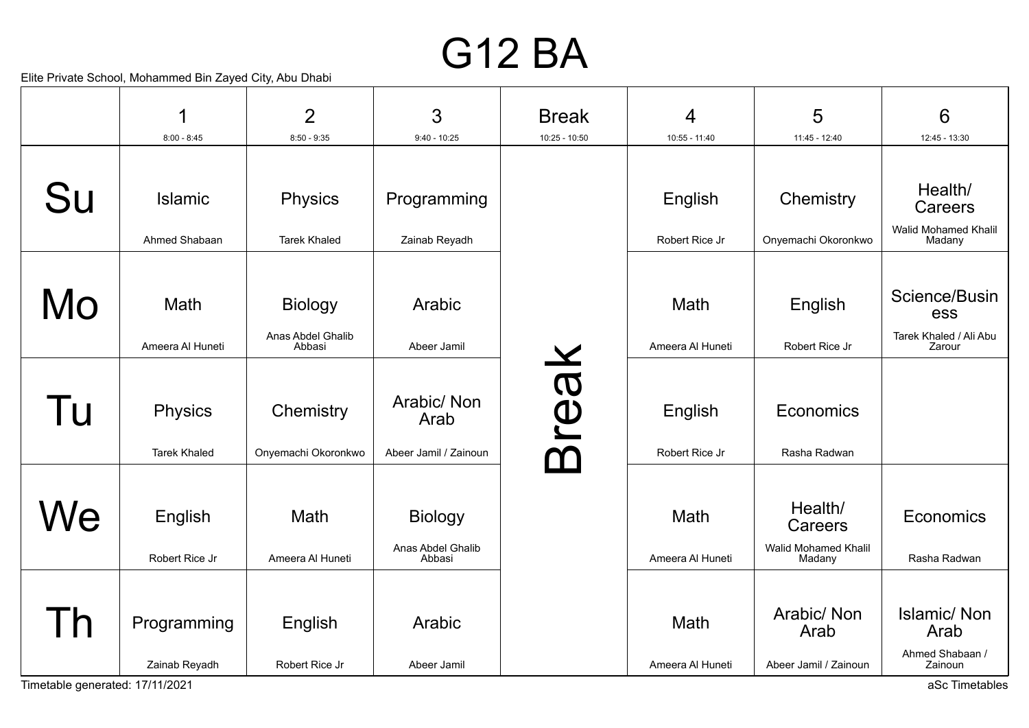### G12 BA

|                                 | 1                                     | $\overline{2}$                      | 3                                             | <b>Break</b>                    | $\overline{4}$            | 5                                                    | 6                                              |
|---------------------------------|---------------------------------------|-------------------------------------|-----------------------------------------------|---------------------------------|---------------------------|------------------------------------------------------|------------------------------------------------|
|                                 | $8:00 - 8:45$                         | $8:50 - 9:35$                       | $9:40 - 10:25$                                | $10:25 - 10:50$                 | 10:55 - 11:40             | 11:45 - 12:40                                        | 12:45 - 13:30                                  |
| Su                              | <b>Islamic</b>                        | <b>Physics</b>                      | Programming                                   |                                 | English                   | Chemistry                                            | Health/<br>Careers                             |
|                                 | Ahmed Shabaan                         | <b>Tarek Khaled</b>                 | Zainab Reyadh                                 |                                 | Robert Rice Jr            | Onyemachi Okoronkwo                                  | <b>Walid Mohamed Khalil</b><br>Madany          |
| Mo                              | Math                                  | <b>Biology</b><br>Anas Abdel Ghalib | Arabic                                        |                                 | Math                      | English                                              | Science/Busin<br>ess<br>Tarek Khaled / Ali Abu |
|                                 | Ameera Al Huneti                      | Abbasi                              | Abeer Jamil                                   |                                 | Ameera Al Huneti          | Robert Rice Jr                                       | Zarour                                         |
| Tu                              | <b>Physics</b><br><b>Tarek Khaled</b> | Chemistry<br>Onyemachi Okoronkwo    | Arabic/ Non<br>Arab<br>Abeer Jamil / Zainoun  | reak<br>$\overline{\mathbf{C}}$ | English<br>Robert Rice Jr | Economics<br>Rasha Radwan                            |                                                |
| We                              | English<br>Robert Rice Jr             | Math<br>Ameera Al Huneti            | <b>Biology</b><br>Anas Abdel Ghalib<br>Abbasi |                                 | Math<br>Ameera Al Huneti  | Health/<br>Careers<br>Walid Mohamed Khalil<br>Madany | Economics<br>Rasha Radwan                      |
|                                 | Programming                           | English                             | Arabic                                        |                                 | Math                      | Arabic/Non<br>Arab                                   | <b>Islamic/Non</b><br>Arab<br>Ahmed Shabaan /  |
| Timetable generated: 17/11/2021 | Zainab Reyadh                         | Robert Rice Jr                      | Abeer Jamil                                   |                                 | Ameera Al Huneti          | Abeer Jamil / Zainoun                                | Zainoun<br>aSc Timetables                      |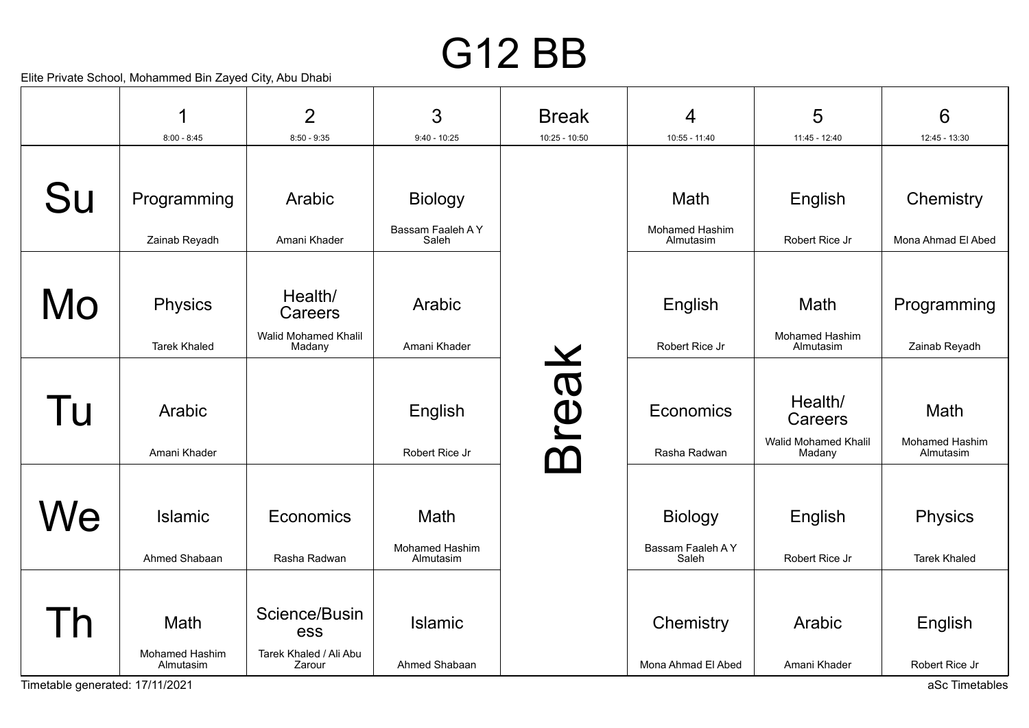### G12 BB

Elite Private School, Mohammed Bin Zayed City, Abu Dhabi

|    | 1<br>$8:00 - 8:45$          | $\overline{2}$<br>$8:50 - 9:35$  | 3<br>$9:40 - 10:25$         | <b>Break</b><br>10:25 - 10:50 | 4<br>10:55 - 11:40          | 5<br>11:45 - 12:40             | 6<br>12:45 - 13:30          |
|----|-----------------------------|----------------------------------|-----------------------------|-------------------------------|-----------------------------|--------------------------------|-----------------------------|
|    |                             |                                  |                             |                               |                             |                                |                             |
| Su | Programming                 | Arabic                           | <b>Biology</b>              |                               | <b>Math</b>                 | English                        | Chemistry                   |
|    | Zainab Reyadh               | Amani Khader                     | Bassam Faaleh AY<br>Saleh   |                               | Mohamed Hashim<br>Almutasim | Robert Rice Jr                 | Mona Ahmad El Abed          |
|    |                             |                                  |                             |                               |                             |                                |                             |
| Mo | <b>Physics</b>              | Health/<br>Careers               | Arabic                      |                               | English                     | Math                           | Programming                 |
|    | <b>Tarek Khaled</b>         | Walid Mohamed Khalil<br>Madany   | Amani Khader                |                               | Robert Rice Jr              | Mohamed Hashim<br>Almutasim    | Zainab Reyadh               |
| Tu | Arabic                      |                                  | English                     | reak                          | Economics                   | Health/<br>Careers             | Math                        |
|    | Amani Khader                |                                  | Robert Rice Jr              | $\overline{\mathsf{C}}$       | Rasha Radwan                | Walid Mohamed Khalil<br>Madany | Mohamed Hashim<br>Almutasim |
|    |                             |                                  |                             |                               |                             |                                |                             |
| Ve | <b>Islamic</b>              | Economics                        | Math                        |                               | <b>Biology</b>              | English                        | <b>Physics</b>              |
|    | Ahmed Shabaan               | Rasha Radwan                     | Mohamed Hashim<br>Almutasim |                               | Bassam Faaleh AY<br>Saleh   | Robert Rice Jr                 | <b>Tarek Khaled</b>         |
|    |                             |                                  |                             |                               |                             |                                |                             |
|    | Math                        | Science/Busin<br>ess             | <b>Islamic</b>              |                               | Chemistry                   | Arabic                         | English                     |
|    | Mohamed Hashim<br>Almutasim | Tarek Khaled / Ali Abu<br>Zarour | Ahmed Shabaan               |                               | Mona Ahmad El Abed          | Amani Khader                   | Robert Rice Jr              |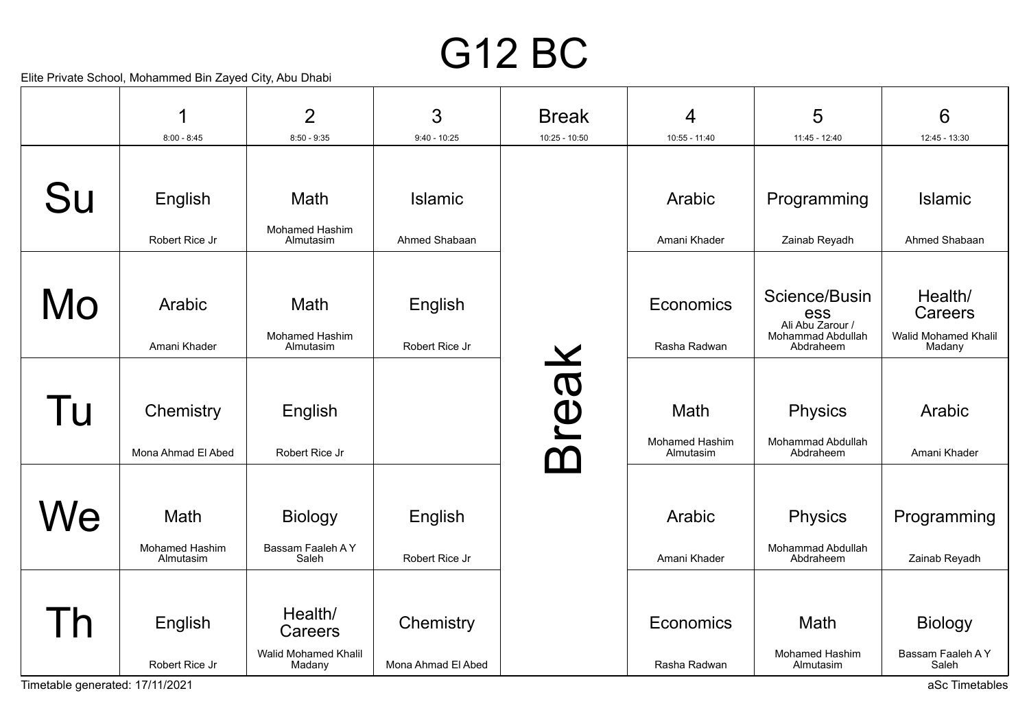### G12 BC

Elite Private School, Mohammed Bin Zayed City, Abu Dhabi

|    | 1<br>$8:00 - 8:45$                  | $\overline{2}$<br>$8:50 - 9:35$              | 3<br>$9:40 - 10:25$       | <b>Break</b><br>$10:25 - 10:50$ | 4<br>10:55 - 11:40                  | 5<br>11:45 - 12:40                                            | 6<br>12:45 - 13:30                                |
|----|-------------------------------------|----------------------------------------------|---------------------------|---------------------------------|-------------------------------------|---------------------------------------------------------------|---------------------------------------------------|
|    |                                     |                                              |                           |                                 |                                     |                                                               |                                                   |
| Su | English                             | Math<br>Mohamed Hashim                       | <b>Islamic</b>            |                                 | Arabic                              | Programming                                                   | <b>Islamic</b>                                    |
|    | Robert Rice Jr                      | Almutasim                                    | Ahmed Shabaan             |                                 | Amani Khader                        | Zainab Reyadh                                                 | Ahmed Shabaan                                     |
| Mo | Arabic                              | Math<br>Mohamed Hashim                       | English                   |                                 | Economics                           | Science/Busin<br>ess<br>Ali Abu Zarour /<br>Mohammad Abdullah | Health/<br>Careers<br><b>Walid Mohamed Khalil</b> |
|    | Amani Khader                        | Almutasim                                    | Robert Rice Jr            |                                 | Rasha Radwan                        | Abdraheem                                                     | Madany                                            |
| Tu | Chemistry<br>Mona Ahmad El Abed     | English<br>Robert Rice Jr                    |                           | real<br>$\boldsymbol{\Phi}$     | Math<br>Mohamed Hashim<br>Almutasim | <b>Physics</b><br>Mohammad Abdullah<br>Abdraheem              | Arabic<br>Amani Khader                            |
| Ve | Math<br>Mohamed Hashim<br>Almutasim | <b>Biology</b><br>Bassam Faaleh A Y<br>Saleh | English<br>Robert Rice Jr |                                 | Arabic<br>Amani Khader              | Physics<br>Mohammad Abdullah<br>Abdraheem                     | Programming<br>Zainab Reyadh                      |
|    | English                             | Health/<br>Careers<br>Walid Mohamed Khalil   | Chemistry                 |                                 | Economics                           | Math<br>Mohamed Hashim                                        | <b>Biology</b><br>Bassam Faaleh AY                |
|    | Robert Rice Jr                      | Madany                                       | Mona Ahmad El Abed        |                                 | Rasha Radwan                        | Almutasim                                                     | Saleh                                             |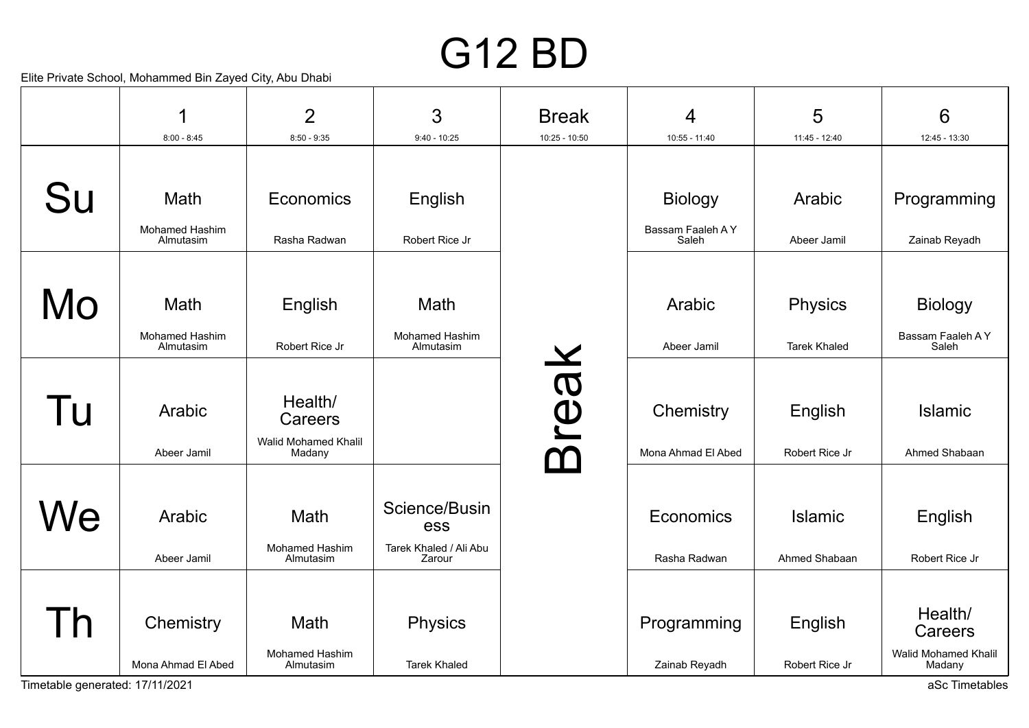## G12 BD

|                | 1                                   | $\overline{2}$                                       | 3                                                        | <b>Break</b>  | 4                               | 5                                     | 6                                                    |
|----------------|-------------------------------------|------------------------------------------------------|----------------------------------------------------------|---------------|---------------------------------|---------------------------------------|------------------------------------------------------|
|                | $8:00 - 8:45$                       | $8:50 - 9:35$                                        | $9:40 - 10:25$                                           | 10:25 - 10:50 | 10:55 - 11:40                   | 11:45 - 12:40                         | 12:45 - 13:30                                        |
| Su             | <b>Math</b>                         | Economics                                            | English                                                  |               | <b>Biology</b>                  | Arabic                                | Programming                                          |
|                | Mohamed Hashim<br>Almutasim         | Rasha Radwan                                         | Robert Rice Jr                                           |               | Bassam Faaleh A Y<br>Saleh      | Abeer Jamil                           | Zainab Reyadh                                        |
| Mo             | Math<br>Mohamed Hashim<br>Almutasim | English<br>Robert Rice Jr                            | Math<br><b>Mohamed Hashim</b><br>Almutasim               |               | Arabic<br>Abeer Jamil           | <b>Physics</b><br><b>Tarek Khaled</b> | <b>Biology</b><br>Bassam Faaleh AY<br>Saleh          |
| Γu             | Arabic<br>Abeer Jamil               | Health/<br>Careers<br>Walid Mohamed Khalil<br>Madany |                                                          | <b>NOS</b>    | Chemistry<br>Mona Ahmad El Abed | English<br>Robert Rice Jr             | <b>Islamic</b><br>Ahmed Shabaan                      |
| Nе             | Arabic<br>Abeer Jamil               | Math<br>Mohamed Hashim<br>Almutasim                  | Science/Busin<br>ess<br>Tarek Khaled / Ali Abu<br>Zarour |               | Economics<br>Rasha Radwan       | <b>Islamic</b><br>Ahmed Shabaan       | English<br>Robert Rice Jr                            |
| $\overline{h}$ | Chemistry<br>Mona Ahmad El Abed     | Math<br>Mohamed Hashim<br>Almutasim                  | <b>Physics</b><br><b>Tarek Khaled</b>                    |               | Programming<br>Zainab Reyadh    | English<br>Robert Rice Jr             | Health/<br>Careers<br>Walid Mohamed Khalil<br>Madany |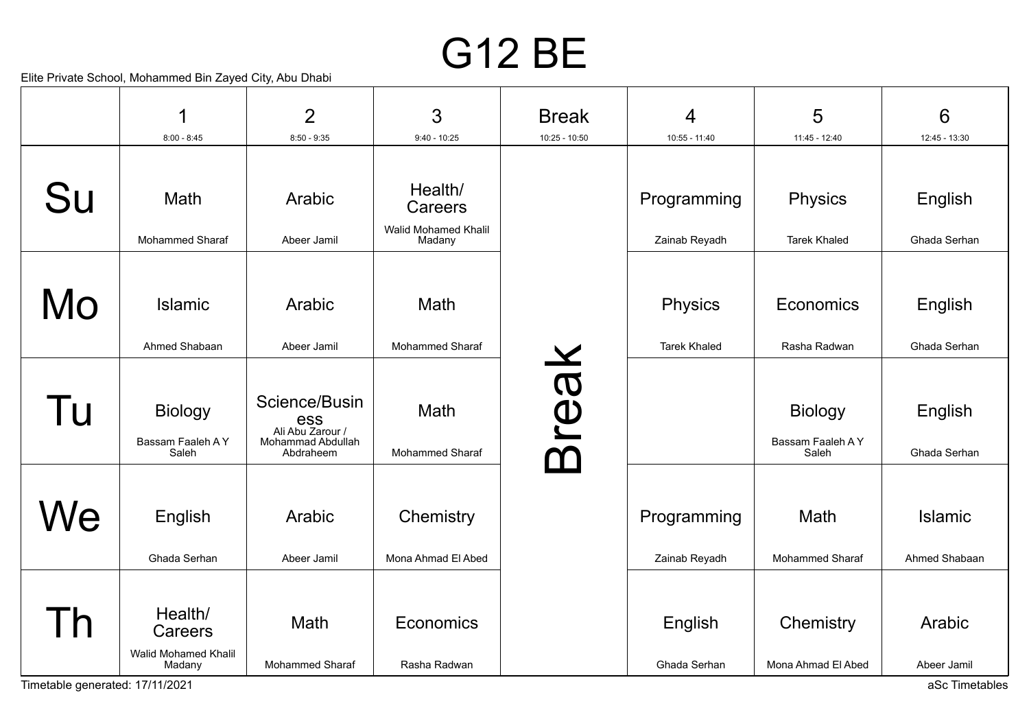## G12 BE

Elite Private School, Mohammed Bin Zayed City, Abu Dhabi

|    | 1                                                    | $\overline{2}$                                                             | 3                                                           | <b>Break</b>                    | 4                              | 5                                            | 6                               |
|----|------------------------------------------------------|----------------------------------------------------------------------------|-------------------------------------------------------------|---------------------------------|--------------------------------|----------------------------------------------|---------------------------------|
|    | $8:00 - 8:45$                                        | $8:50 - 9:35$                                                              | $9:40 - 10:25$                                              | 10:25 - 10:50                   | $10:55 - 11:40$                | 11:45 - 12:40                                | 12:45 - 13:30                   |
| Su | Math<br>Mohammed Sharaf                              | Arabic<br>Abeer Jamil                                                      | Health/<br>Careers<br><b>Walid Mohamed Khalil</b><br>Madany |                                 | Programming<br>Zainab Reyadh   | Physics<br><b>Tarek Khaled</b>               | English<br>Ghada Serhan         |
| Mo | Islamic<br>Ahmed Shabaan                             | Arabic<br>Abeer Jamil                                                      | Math<br><b>Mohammed Sharaf</b>                              |                                 | Physics<br><b>Tarek Khaled</b> | Economics<br>Rasha Radwan                    | English<br>Ghada Serhan         |
| Tu | <b>Biology</b><br>Bassam Faaleh A Y<br>Saleh         | Science/Busin<br>ess<br>Ali Abu Zarour /<br>Mohammad Abdullah<br>Abdraheem | Math<br><b>Mohammed Sharaf</b>                              | reak<br>$\overline{\mathsf{D}}$ |                                | <b>Biology</b><br>Bassam Faaleh A Y<br>Saleh | English<br>Ghada Serhan         |
| Ve | English<br>Ghada Serhan                              | Arabic<br>Abeer Jamil                                                      | Chemistry<br>Mona Ahmad El Abed                             |                                 | Programming<br>Zainab Reyadh   | Math<br>Mohammed Sharaf                      | <b>Islamic</b><br>Ahmed Shabaan |
|    | Health/<br>Careers<br>Walid Mohamed Khalil<br>Madany | Math<br><b>Mohammed Sharaf</b>                                             | Economics<br>Rasha Radwan                                   |                                 | English<br>Ghada Serhan        | Chemistry<br>Mona Ahmad El Abed              | Arabic<br>Abeer Jamil           |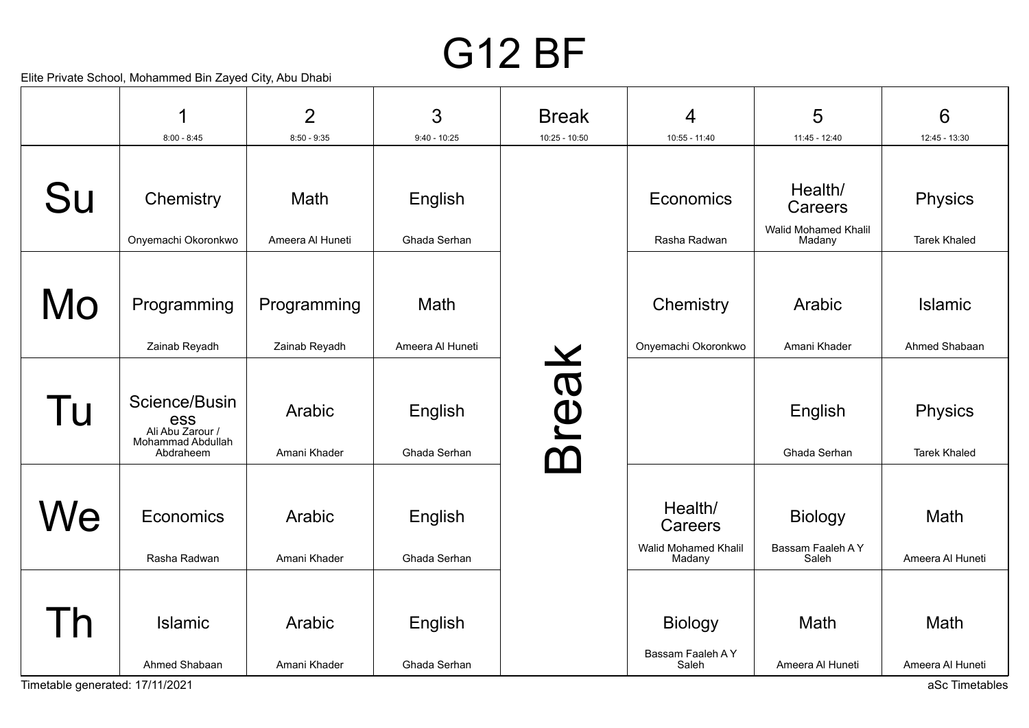## G12 BF

Elite Private School, Mohammed Bin Zayed City, Abu Dhabi

|    | 1                                                                          | $\overline{2}$         | 3                       | <b>Break</b>  | $\overline{4}$                                              | 5                                            | 6                              |
|----|----------------------------------------------------------------------------|------------------------|-------------------------|---------------|-------------------------------------------------------------|----------------------------------------------|--------------------------------|
|    | $8:00 - 8:45$                                                              | $8:50 - 9:35$          | $9:40 - 10:25$          | 10:25 - 10:50 | $10:55 - 11:40$                                             | 11:45 - 12:40                                | 12:45 - 13:30                  |
|    |                                                                            |                        |                         |               |                                                             |                                              |                                |
| Su | Chemistry                                                                  | Math                   | English                 |               | Economics                                                   | Health/<br>Careers                           | Physics                        |
|    | Onyemachi Okoronkwo                                                        | Ameera Al Huneti       | Ghada Serhan            |               | Rasha Radwan                                                | <b>Walid Mohamed Khalil</b><br>Madany        | <b>Tarek Khaled</b>            |
|    |                                                                            |                        |                         |               |                                                             |                                              |                                |
| Mo | Programming                                                                | Programming            | Math                    |               | Chemistry                                                   | Arabic                                       | <b>Islamic</b>                 |
|    | Zainab Reyadh                                                              | Zainab Reyadh          | Ameera Al Huneti        |               | Onyemachi Okoronkwo                                         | Amani Khader                                 | Ahmed Shabaan                  |
| Tu | Science/Busin<br>ess<br>Ali Abu Zarour /<br>Mohammad Abdullah<br>Abdraheem | Arabic<br>Amani Khader | English<br>Ghada Serhan | reak          |                                                             | English<br>Ghada Serhan                      | Physics<br><b>Tarek Khaled</b> |
| Ve | Economics<br>Rasha Radwan                                                  | Arabic<br>Amani Khader | English<br>Ghada Serhan |               | Health/<br>Careers<br><b>Walid Mohamed Khalil</b><br>Madany | <b>Biology</b><br>Bassam Faaleh A Y<br>Saleh | Math<br>Ameera Al Huneti       |
|    | Islamic<br>Ahmed Shabaan                                                   | Arabic<br>Amani Khader | English<br>Ghada Serhan |               | <b>Biology</b><br>Bassam Faaleh AY<br>Saleh                 | Math<br>Ameera Al Huneti                     | Math<br>Ameera Al Huneti       |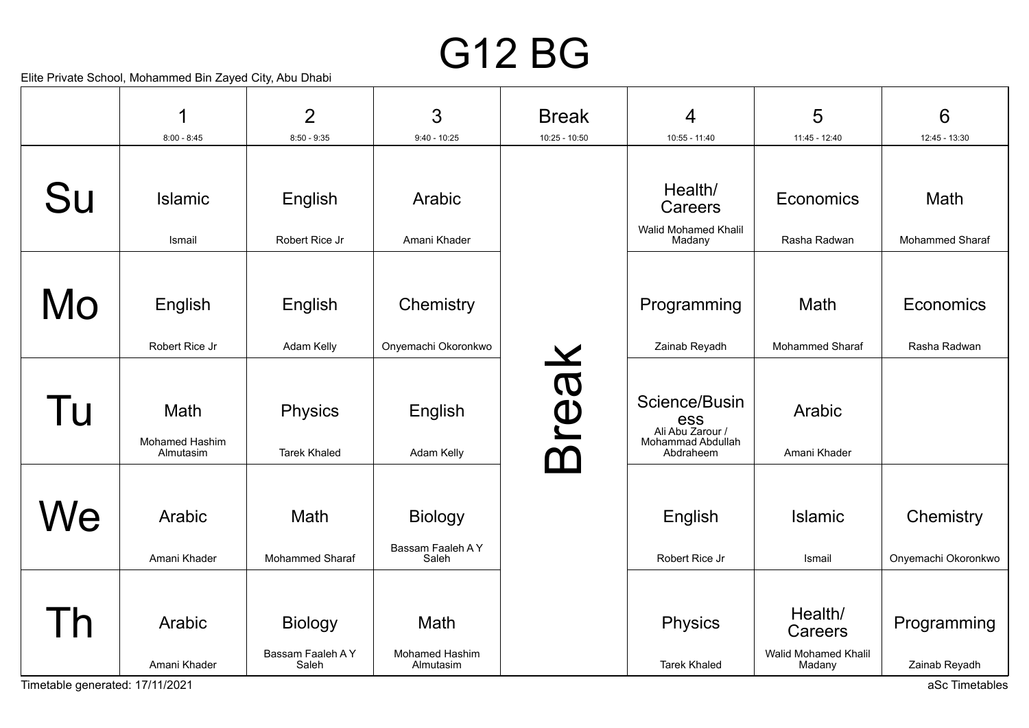## G12 BG

Elite Private School, Mohammed Bin Zayed City, Abu Dhabi

|    | 1                                   | $\overline{2}$                        | 3                                            | <b>Break</b>  | $\overline{4}$                                                             | 5                                     | 6                                |
|----|-------------------------------------|---------------------------------------|----------------------------------------------|---------------|----------------------------------------------------------------------------|---------------------------------------|----------------------------------|
|    | $8:00 - 8:45$                       | $8:50 - 9:35$                         | $9:40 - 10:25$                               | 10:25 - 10:50 | 10:55 - 11:40                                                              | 11:45 - 12:40                         | 12:45 - 13:30                    |
|    |                                     |                                       |                                              |               |                                                                            |                                       |                                  |
| Su | <b>Islamic</b>                      | English                               | Arabic                                       |               | Health/<br>Careers                                                         | Economics                             | Math                             |
|    | Ismail                              | Robert Rice Jr                        | Amani Khader                                 |               | Walid Mohamed Khalil<br>Madany                                             | Rasha Radwan                          | <b>Mohammed Sharaf</b>           |
|    |                                     |                                       |                                              |               |                                                                            |                                       |                                  |
| Mo | English                             | English                               | Chemistry                                    |               | Programming                                                                | <b>Math</b>                           | Economics                        |
|    | Robert Rice Jr                      | Adam Kelly                            | Onyemachi Okoronkwo                          |               | Zainab Reyadh                                                              | <b>Mohammed Sharaf</b>                | Rasha Radwan                     |
| Tu | Math<br>Mohamed Hashim<br>Almutasim | <b>Physics</b><br><b>Tarek Khaled</b> | English<br>Adam Kelly                        | Break         | Science/Busin<br>ess<br>Ali Abu Zarour /<br>Mohammad Abdullah<br>Abdraheem | Arabic<br>Amani Khader                |                                  |
| Ve | Arabic<br>Amani Khader              | Math<br>Mohammed Sharaf               | <b>Biology</b><br>Bassam Faaleh A Y<br>Saleh |               | English<br>Robert Rice Jr                                                  | <b>Islamic</b><br>Ismail              | Chemistry<br>Onyemachi Okoronkwo |
|    |                                     |                                       |                                              |               |                                                                            |                                       |                                  |
|    | Arabic                              | <b>Biology</b>                        | Math                                         |               | <b>Physics</b>                                                             | Health/<br>Careers                    | Programming                      |
|    | Amani Khader                        | Bassam Faaleh AY<br>Saleh             | Mohamed Hashim<br>Almutasim                  |               | <b>Tarek Khaled</b>                                                        | <b>Walid Mohamed Khalil</b><br>Madany | Zainab Reyadh                    |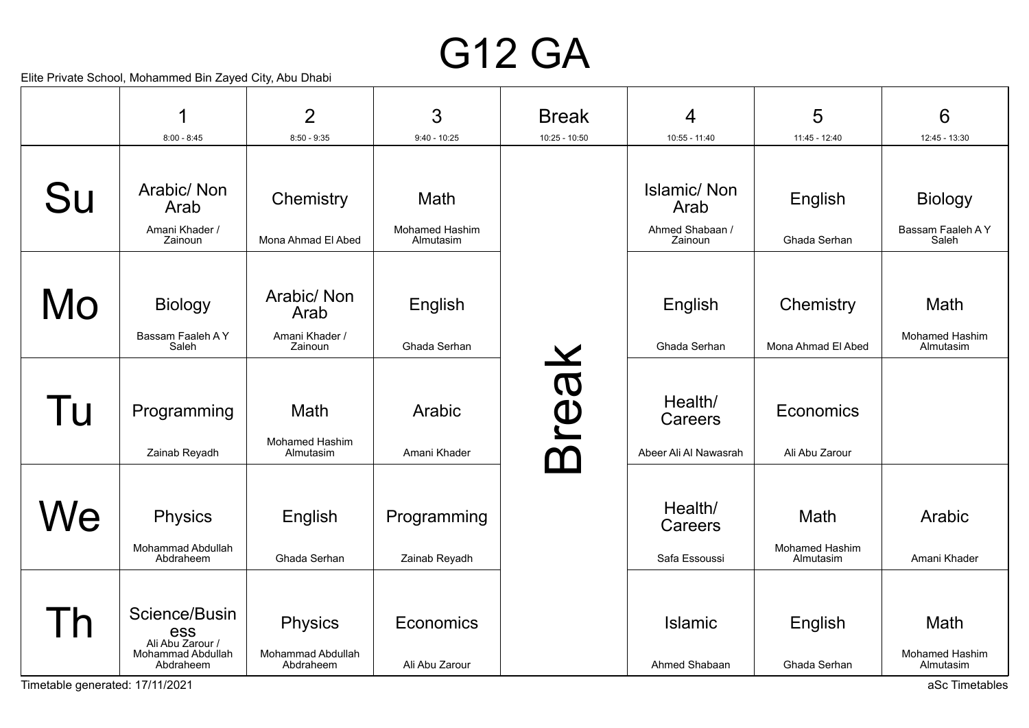### G12 GA

Elite Private School, Mohammed Bin Zayed City, Abu Dhabi

|    | 1                                                         | $\overline{2}$                 | 3                                  | <b>Break</b>  | 4                          | 5                                  | 6                           |
|----|-----------------------------------------------------------|--------------------------------|------------------------------------|---------------|----------------------------|------------------------------------|-----------------------------|
|    | $8:00 - 8:45$                                             | $8:50 - 9:35$                  | $9:40 - 10:25$                     | 10:25 - 10:50 | $10:55 - 11:40$            | 11:45 - 12:40                      | 12:45 - 13:30               |
|    |                                                           |                                |                                    |               |                            |                                    |                             |
| Su | Arabic/Non<br>Arab                                        | Chemistry                      | Math                               |               | <b>Islamic/Non</b><br>Arab | English                            | <b>Biology</b>              |
|    | Amani Khader /<br>Zainoun                                 | Mona Ahmad El Abed             | <b>Mohamed Hashim</b><br>Almutasim |               | Ahmed Shabaan /<br>Zainoun | Ghada Serhan                       | Bassam Faaleh AY<br>Saleh   |
|    |                                                           |                                |                                    |               |                            |                                    |                             |
| Mo | <b>Biology</b>                                            | Arabic/Non<br>Arab             | English                            |               | English                    | Chemistry                          | Math                        |
|    | Bassam Faaleh A Y<br>Saleh                                | Amani Khader /<br>Zainoun      | Ghada Serhan                       |               | Ghada Serhan               | Mona Ahmad El Abed                 | Mohamed Hashim<br>Almutasim |
|    |                                                           |                                |                                    |               |                            |                                    |                             |
| Tu | Programming                                               | Math                           | Arabic                             | IBAI          | Health/<br>Careers         | Economics                          |                             |
|    | Zainab Reyadh                                             | Mohamed Hashim<br>Almutasim    | Amani Khader                       | ገገ            | Abeer Ali Al Nawasrah      | Ali Abu Zarour                     |                             |
|    |                                                           |                                |                                    |               |                            |                                    |                             |
| Ve | Physics                                                   | English                        | Programming                        |               | Health/<br>Careers         | <b>Math</b>                        | Arabic                      |
|    | Mohammad Abdullah<br>Abdraheem                            | Ghada Serhan                   | Zainab Reyadh                      |               | Safa Essoussi              | <b>Mohamed Hashim</b><br>Almutasim | Amani Khader                |
|    |                                                           |                                |                                    |               |                            |                                    |                             |
|    | Science/Busin<br>ess                                      | Physics                        | Economics                          |               | <b>Islamic</b>             | English                            | Math                        |
|    | Ali Abu Zarour /<br><b>Mohammad Abdullah</b><br>Abdraheem | Mohammad Abdullah<br>Abdraheem | Ali Abu Zarour                     |               | Ahmed Shabaan              | Ghada Serhan                       | Mohamed Hashim<br>Almutasim |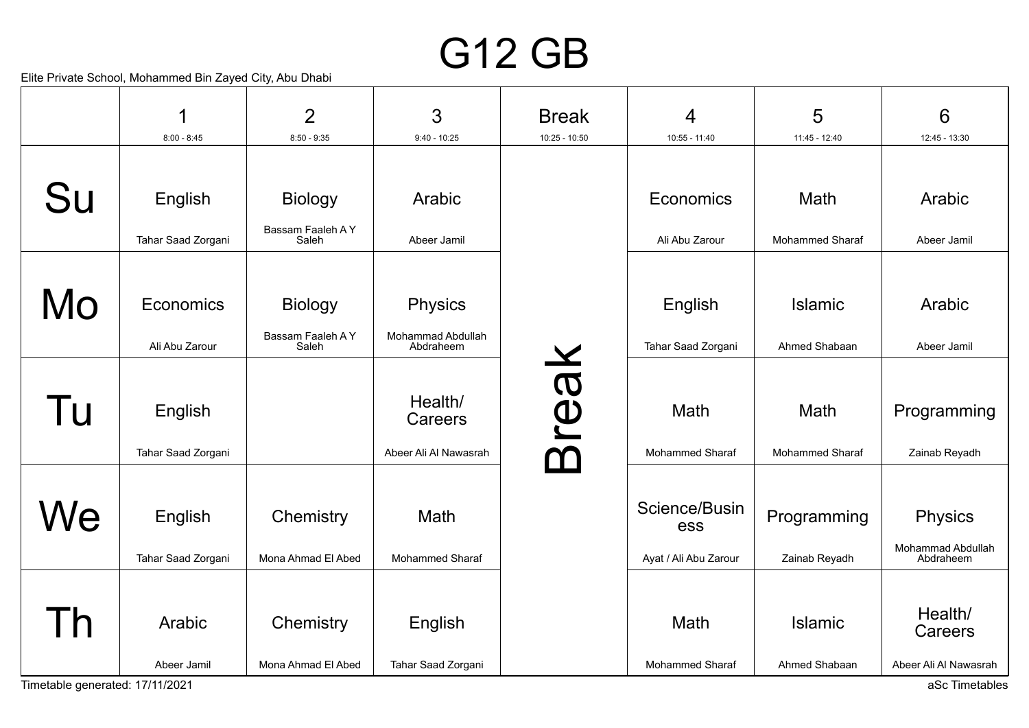## G12 GB

|                                 | 1                             | $\overline{2}$                              | 3                                                | <b>Break</b><br>$10:25 - 10:50$ | 4                                             | 5                               | 6                                                |
|---------------------------------|-------------------------------|---------------------------------------------|--------------------------------------------------|---------------------------------|-----------------------------------------------|---------------------------------|--------------------------------------------------|
|                                 | $8:00 - 8:45$                 | $8:50 - 9:35$                               | $9:40 - 10:25$                                   |                                 | 10:55 - 11:40                                 | 11:45 - 12:40                   | 12:45 - 13:30                                    |
| Su                              | English                       | <b>Biology</b><br>Bassam Faaleh AY          | Arabic                                           |                                 | Economics                                     | <b>Math</b>                     | Arabic                                           |
|                                 | Tahar Saad Zorgani            | Saleh                                       | Abeer Jamil                                      |                                 | Ali Abu Zarour                                | <b>Mohammed Sharaf</b>          | Abeer Jamil                                      |
| Mo                              | Economics<br>Ali Abu Zarour   | <b>Biology</b><br>Bassam Faaleh AY<br>Saleh | <b>Physics</b><br>Mohammad Abdullah<br>Abdraheem |                                 | English<br>Tahar Saad Zorgani                 | <b>Islamic</b><br>Ahmed Shabaan | Arabic<br>Abeer Jamil                            |
| Tu                              | English<br>Tahar Saad Zorgani |                                             | Health/<br>Careers<br>Abeer Ali Al Nawasrah      | <b>Break</b>                    | Math<br>Mohammed Sharaf                       | Math<br>Mohammed Sharaf         | Programming<br>Zainab Reyadh                     |
| We                              | English<br>Tahar Saad Zorgani | Chemistry<br>Mona Ahmad El Abed             | Math<br><b>Mohammed Sharaf</b>                   |                                 | Science/Busin<br>ess<br>Ayat / Ali Abu Zarour | Programming<br>Zainab Reyadh    | <b>Physics</b><br>Mohammad Abdullah<br>Abdraheem |
|                                 | Arabic<br>Abeer Jamil         | Chemistry<br>Mona Ahmad El Abed             | English<br>Tahar Saad Zorgani                    |                                 | Math<br>Mohammed Sharaf                       | <b>Islamic</b><br>Ahmed Shabaan | Health/<br>Careers<br>Abeer Ali Al Nawasrah      |
| Timetable generated: 17/11/2021 |                               |                                             |                                                  |                                 |                                               |                                 | aSc Timetables                                   |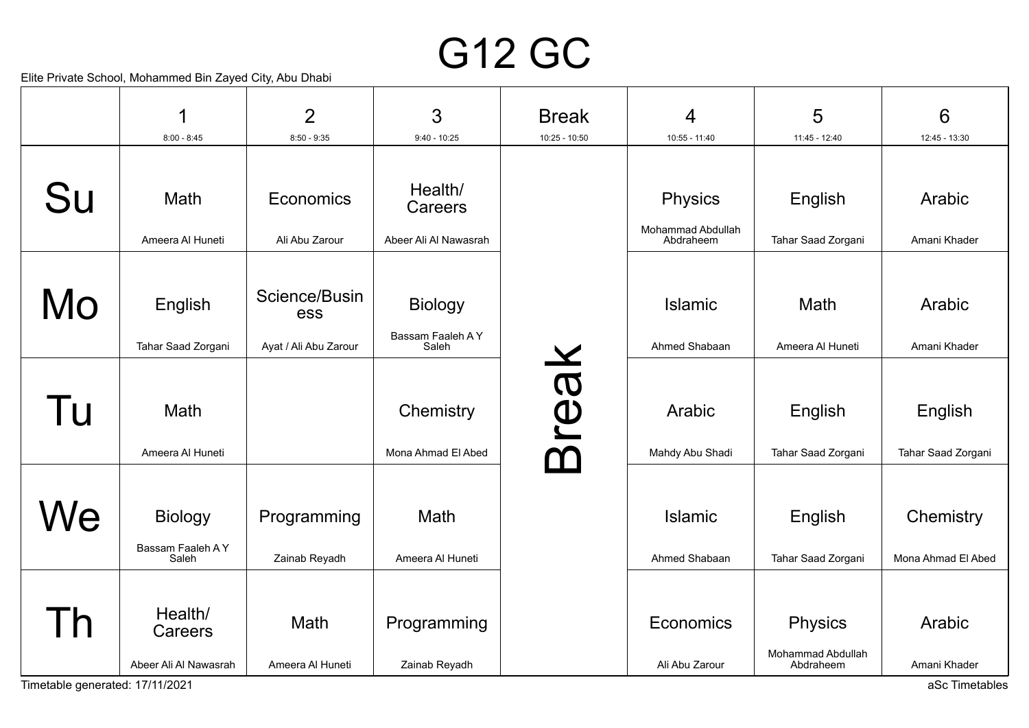### G12 GC

Elite Private School, Mohammed Bin Zayed City, Abu Dhabi

|    | ◀                                           | $\overline{2}$               | 3                                           | <b>Break</b>             | $\overline{4}$                                   | 5                                                | 6                               |
|----|---------------------------------------------|------------------------------|---------------------------------------------|--------------------------|--------------------------------------------------|--------------------------------------------------|---------------------------------|
|    | $8:00 - 8:45$                               | $8:50 - 9:35$                | $9:40 - 10:25$                              | $10:25 - 10:50$          | $10:55 - 11:40$                                  | 11:45 - 12:40                                    | $12:45 - 13:30$                 |
| Su | Math<br>Ameera Al Huneti                    | Economics<br>Ali Abu Zarour  | Health/<br>Careers<br>Abeer Ali Al Nawasrah |                          | <b>Physics</b><br>Mohammad Abdullah<br>Abdraheem | English<br>Tahar Saad Zorgani                    | Arabic<br>Amani Khader          |
|    |                                             |                              |                                             |                          |                                                  |                                                  |                                 |
| Mo | English                                     | Science/Busin<br>ess         | <b>Biology</b>                              |                          | <b>Islamic</b>                                   | Math                                             | Arabic                          |
|    | Tahar Saad Zorgani                          | Ayat / Ali Abu Zarour        | Bassam Faaleh A Y<br>Saleh                  |                          | Ahmed Shabaan                                    | Ameera Al Huneti                                 | Amani Khader                    |
| Tu | Math<br>Ameera Al Huneti                    |                              | Chemistry<br>Mona Ahmad El Abed             | reak<br>$\mathbf \Omega$ | Arabic<br>Mahdy Abu Shadi                        | English<br>Tahar Saad Zorgani                    | English<br>Tahar Saad Zorgani   |
| Ve | <b>Biology</b><br>Bassam Faaleh AY<br>Saleh | Programming<br>Zainab Reyadh | <b>Math</b><br>Ameera Al Huneti             |                          | <b>Islamic</b><br>Ahmed Shabaan                  | English<br>Tahar Saad Zorgani                    | Chemistry<br>Mona Ahmad El Abed |
|    | Health/<br>Careers<br>Abeer Ali Al Nawasrah | Math<br>Ameera Al Huneti     | Programming<br>Zainab Reyadh                |                          | Economics<br>Ali Abu Zarour                      | <b>Physics</b><br>Mohammad Abdullah<br>Abdraheem | Arabic<br>Amani Khader          |